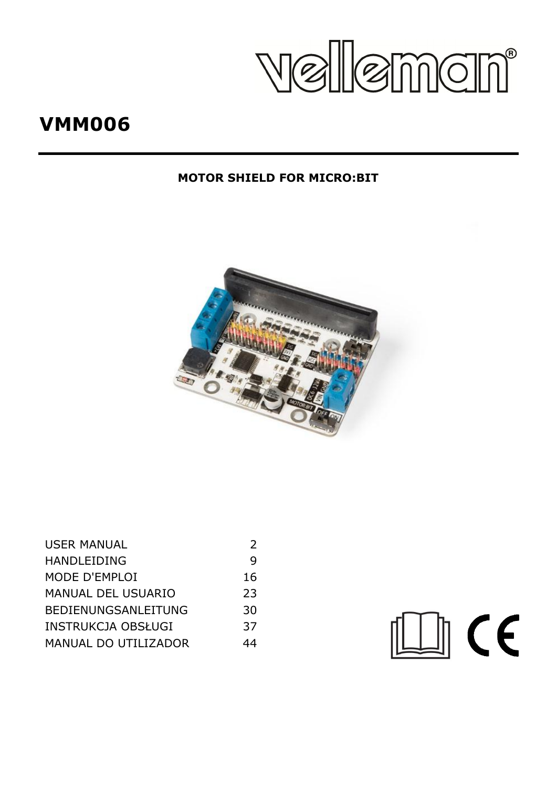Velleman<sup>®</sup>

# **VMM006**

# **MOTOR SHIELD FOR MICRO:BIT**



| <b>USER MANUAL</b>         |    |
|----------------------------|----|
| <b>HANDLEIDING</b>         | q  |
| MODE D'EMPLOI              | 16 |
| <b>MANUAL DEL USUARIO</b>  | 23 |
| <b>BEDIENUNGSANLEITUNG</b> | 30 |
| INSTRUKCJA OBSŁUGI         | 37 |
| MANUAL DO UTILIZADOR       | 44 |

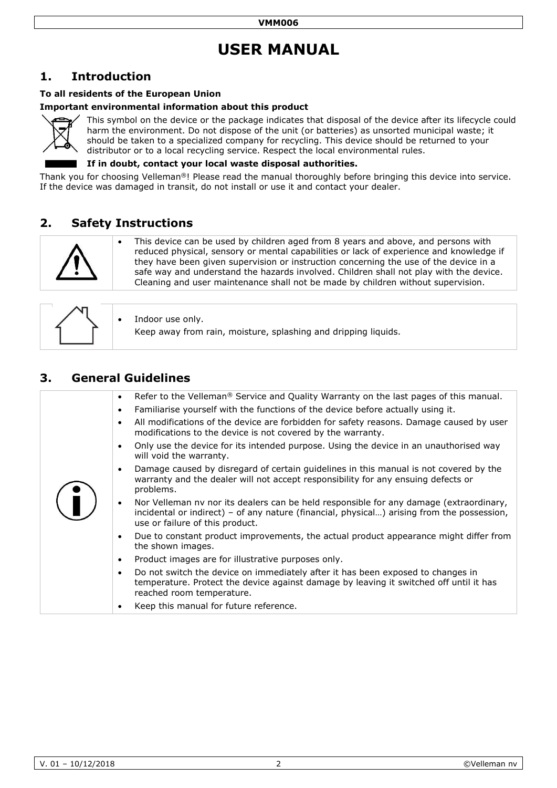# **USER MANUAL**

# <span id="page-1-0"></span>**1. Introduction**

#### **To all residents of the European Union**

#### **Important environmental information about this product**



This symbol on the device or the package indicates that disposal of the device after its lifecycle could harm the environment. Do not dispose of the unit (or batteries) as unsorted municipal waste; it should be taken to a specialized company for recycling. This device should be returned to your distributor or to a local recycling service. Respect the local environmental rules.

#### **If in doubt, contact your local waste disposal authorities.**

Thank you for choosing Velleman®! Please read the manual thoroughly before bringing this device into service. If the device was damaged in transit, do not install or use it and contact your dealer.

## **2. Safety Instructions**



 This device can be used by children aged from 8 years and above, and persons with reduced physical, sensory or mental capabilities or lack of experience and knowledge if they have been given supervision or instruction concerning the use of the device in a safe way and understand the hazards involved. Children shall not play with the device. Cleaning and user maintenance shall not be made by children without supervision.

|  | $\bullet$ Indoor use only.<br>Keep away from rain, moisture, splashing and dripping liquids. |
|--|----------------------------------------------------------------------------------------------|
|--|----------------------------------------------------------------------------------------------|

# **3. General Guidelines**

| Refer to the Velleman <sup>®</sup> Service and Quality Warranty on the last pages of this manual.<br>$\bullet$                                                                                                                       |
|--------------------------------------------------------------------------------------------------------------------------------------------------------------------------------------------------------------------------------------|
| Familiarise yourself with the functions of the device before actually using it.<br>$\bullet$                                                                                                                                         |
| All modifications of the device are forbidden for safety reasons. Damage caused by user<br>$\bullet$<br>modifications to the device is not covered by the warranty.                                                                  |
| Only use the device for its intended purpose. Using the device in an unauthorised way<br>$\bullet$<br>will void the warranty.                                                                                                        |
| Damage caused by disregard of certain guidelines in this manual is not covered by the<br>$\bullet$<br>warranty and the dealer will not accept responsibility for any ensuing defects or<br>problems.                                 |
| Nor Velleman nv nor its dealers can be held responsible for any damage (extraordinary,<br>$\bullet$<br>incidental or indirect) - of any nature (financial, physical) arising from the possession,<br>use or failure of this product. |
| Due to constant product improvements, the actual product appearance might differ from<br>$\bullet$<br>the shown images.                                                                                                              |
| Product images are for illustrative purposes only.<br>$\bullet$                                                                                                                                                                      |
| Do not switch the device on immediately after it has been exposed to changes in<br>$\bullet$<br>temperature. Protect the device against damage by leaving it switched off until it has<br>reached room temperature.                  |
| Keep this manual for future reference.<br>٠                                                                                                                                                                                          |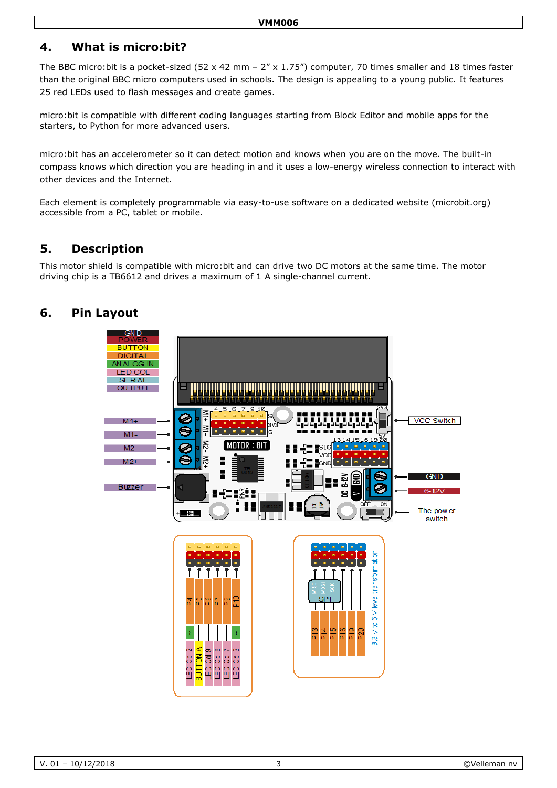# **4. What is micro:bit?**

The BBC micro:bit is a pocket-sized (52 x 42 mm – 2" x 1.75") computer, 70 times smaller and 18 times faster than the original BBC micro computers used in schools. The design is appealing to a young public. It features 25 red LEDs used to flash messages and create games.

micro:bit is compatible with different coding languages starting from Block Editor and mobile apps for the starters, to Python for more advanced users.

micro:bit has an accelerometer so it can detect motion and knows when you are on the move. The built-in compass knows which direction you are heading in and it uses a low-energy wireless connection to interact with other devices and the Internet.

Each element is completely programmable via easy-to-use software on a dedicated website (microbit.org) accessible from a PC, tablet or mobile.

# **5. Description**

This motor shield is compatible with micro:bit and can drive two DC motors at the same time. The motor driving chip is a TB6612 and drives a maximum of 1 A single-channel current.

# **6. Pin Layout**

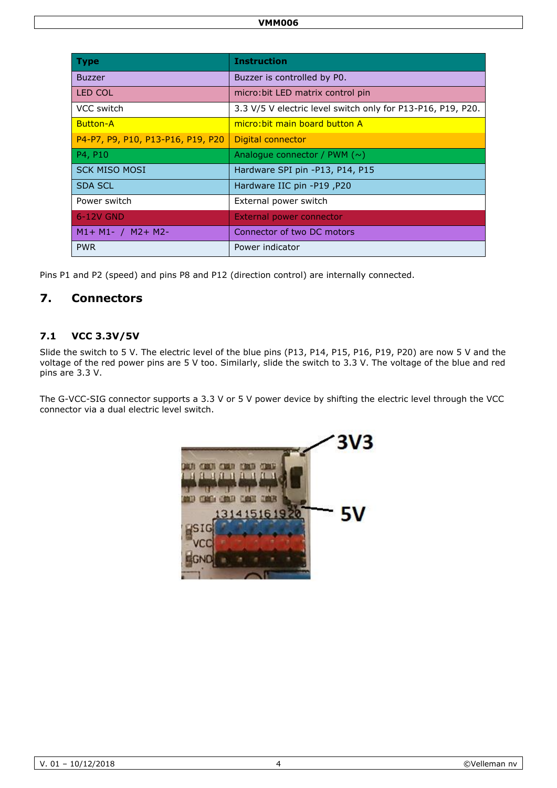| <b>Type</b>                       | <b>Instruction</b>                                          |
|-----------------------------------|-------------------------------------------------------------|
| <b>Buzzer</b>                     | Buzzer is controlled by P0.                                 |
| <b>LED COL</b>                    | micro: bit LED matrix control pin                           |
| VCC switch                        | 3.3 V/5 V electric level switch only for P13-P16, P19, P20. |
| <b>Button-A</b>                   | micro: bit main board button A                              |
| P4-P7, P9, P10, P13-P16, P19, P20 | Digital connector                                           |
| P4, P10                           | Analogue connector / PWM $(\sim)$                           |
| <b>SCK MISO MOSI</b>              | Hardware SPI pin -P13, P14, P15                             |
| <b>SDA SCL</b>                    | P20, Hardware IIC pin -P19                                  |
| Power switch                      | External power switch                                       |
| 6-12V GND                         | External power connector                                    |
| $M1 + M1 - / M2 + M2$             | Connector of two DC motors                                  |
| <b>PWR</b>                        | Power indicator                                             |

Pins P1 and P2 (speed) and pins P8 and P12 (direction control) are internally connected.

# **7. Connectors**

### **7.1 VCC 3.3V/5V**

Slide the switch to 5 V. The electric level of the blue pins (P13, P14, P15, P16, P19, P20) are now 5 V and the voltage of the red power pins are 5 V too. Similarly, slide the switch to 3.3 V. The voltage of the blue and red pins are 3.3 V.

The G-VCC-SIG connector supports a 3.3 V or 5 V power device by shifting the electric level through the VCC connector via a dual electric level switch.

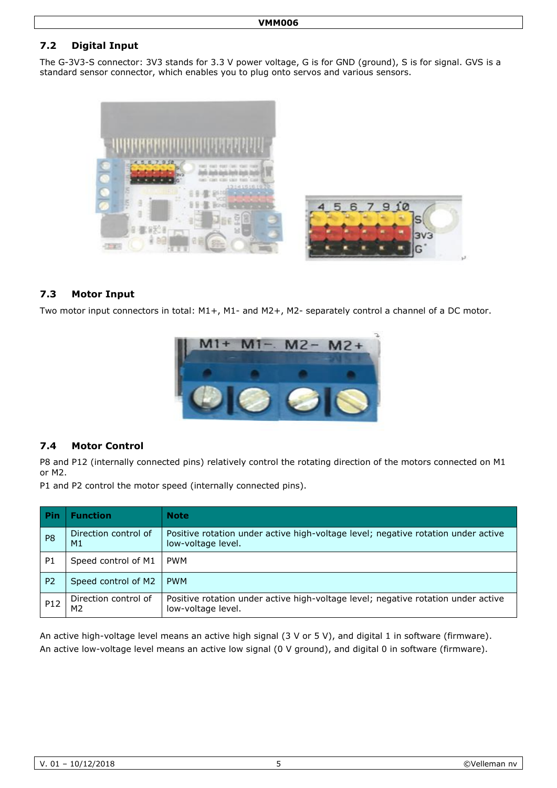## **7.2 Digital Input**

The G-3V3-S connector: 3V3 stands for 3.3 V power voltage, G is for GND (ground), S is for signal. GVS is a standard sensor connector, which enables you to plug onto servos and various sensors.



#### **7.3 Motor Input**

Two motor input connectors in total: M1+, M1- and M2+, M2- separately control a channel of a DC motor.



#### **7.4 Motor Control**

P8 and P12 (internally connected pins) relatively control the rotating direction of the motors connected on M1 or M2.

P1 and P2 control the motor speed (internally connected pins).

| Pin             | <b>Function</b>                        | <b>Note</b>                                                                                             |
|-----------------|----------------------------------------|---------------------------------------------------------------------------------------------------------|
| P <sub>8</sub>  | Direction control of<br>M1             | Positive rotation under active high-voltage level; negative rotation under active<br>low-voltage level. |
| P <sub>1</sub>  | Speed control of M1                    | <b>PWM</b>                                                                                              |
| P <sub>2</sub>  | Speed control of M2                    | <b>PWM</b>                                                                                              |
| P <sub>12</sub> | Direction control of<br>M <sub>2</sub> | Positive rotation under active high-voltage level; negative rotation under active<br>low-voltage level. |

An active high-voltage level means an active high signal (3 V or 5 V), and digital 1 in software (firmware). An active low-voltage level means an active low signal (0 V ground), and digital 0 in software (firmware).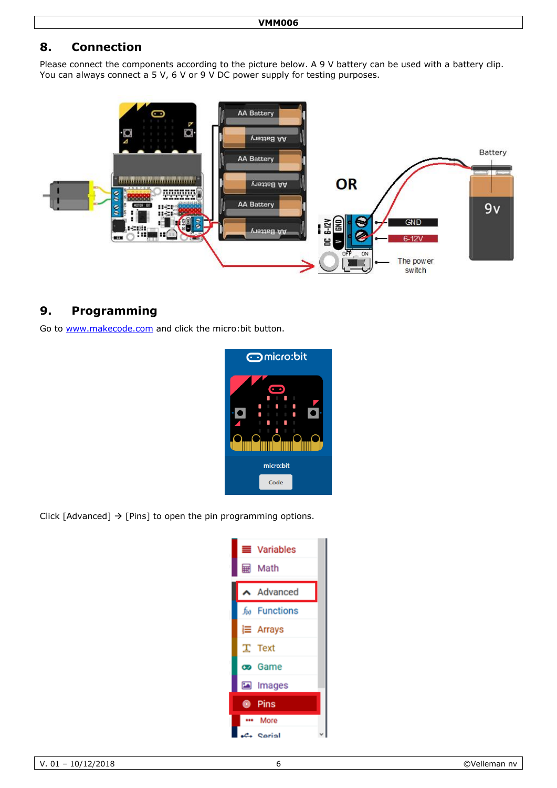# **8. Connection**

Please connect the components according to the picture below. A 9 V battery can be used with a battery clip. You can always connect a 5 V, 6 V or 9 V DC power supply for testing purposes.



# **9. Programming**

Go to [www.makecode.com](http://www.makecode.com/) and click the micro:bit button.



Click [Advanced]  $\rightarrow$  [Pins] to open the pin programming options.

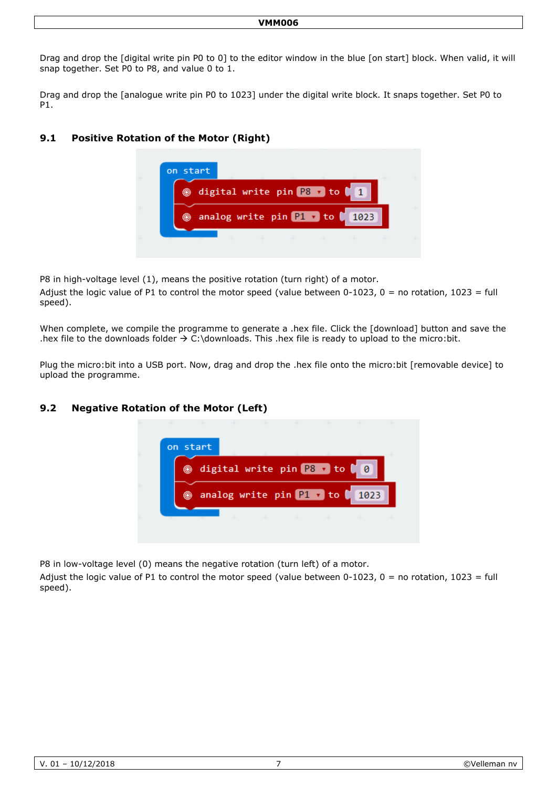#### **VMM006**

Drag and drop the [digital write pin P0 to 0] to the editor window in the blue [on start] block. When valid, it will snap together. Set P0 to P8, and value 0 to 1.

Drag and drop the [analogue write pin P0 to 1023] under the digital write block. It snaps together. Set P0 to P1.

#### **9.1 Positive Rotation of the Motor (Right)**



P8 in high-voltage level (1), means the positive rotation (turn right) of a motor.

Adjust the logic value of P1 to control the motor speed (value between 0-1023, 0 = no rotation, 1023 = full speed).

When complete, we compile the programme to generate a .hex file. Click the [download] button and save the .hex file to the downloads folder  $\rightarrow$  C:\downloads. This .hex file is ready to upload to the micro:bit.

Plug the micro:bit into a USB port. Now, drag and drop the .hex file onto the micro:bit [removable device] to upload the programme.

#### **9.2 Negative Rotation of the Motor (Left)**



P8 in low-voltage level (0) means the negative rotation (turn left) of a motor.

Adjust the logic value of P1 to control the motor speed (value between  $0-1023$ ,  $0 =$  no rotation,  $1023 =$  full speed).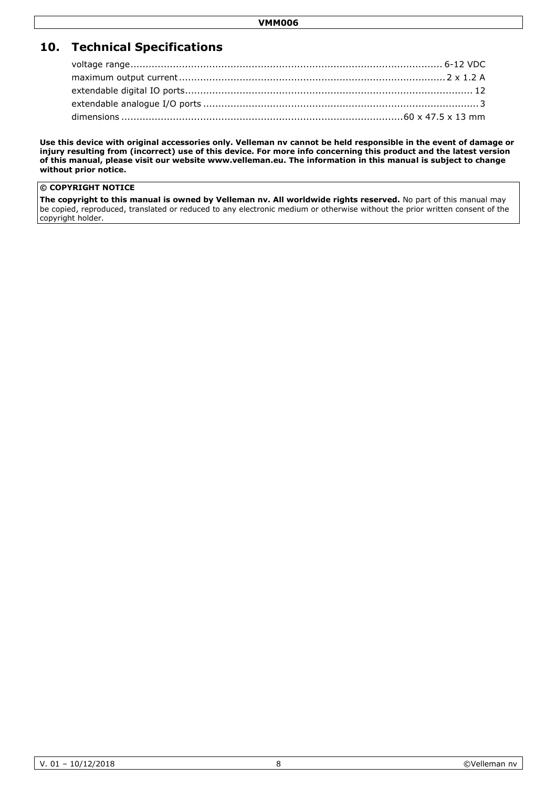# **10. Technical Specifications**

**Use this device with original accessories only. Velleman nv cannot be held responsible in the event of damage or injury resulting from (incorrect) use of this device. For more info concerning this product and the latest version of this manual, please visit our website www.velleman.eu. The information in this manual is subject to change without prior notice.**

#### **© COPYRIGHT NOTICE**

**The copyright to this manual is owned by Velleman nv. All worldwide rights reserved.** No part of this manual may be copied, reproduced, translated or reduced to any electronic medium or otherwise without the prior written consent of the copyright holder.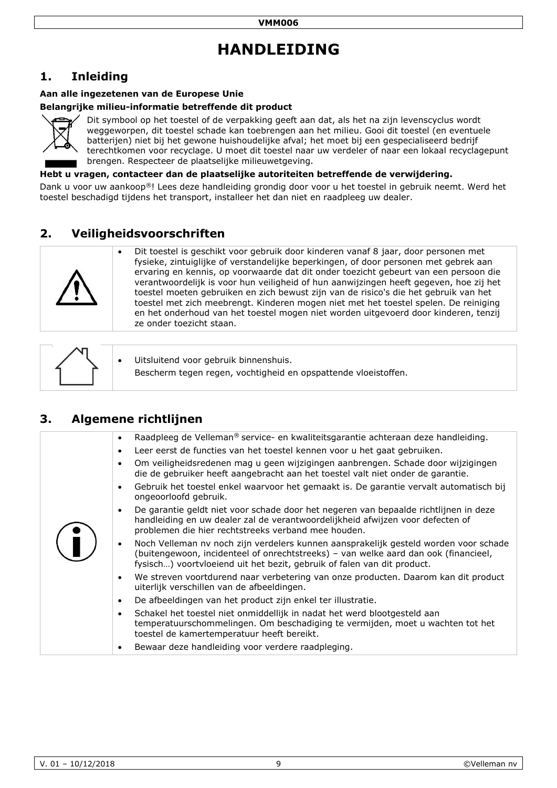# **HANDLEIDING**

# <span id="page-8-0"></span>**1. Inleiding**

#### **Aan alle ingezetenen van de Europese Unie**

#### **Belangrijke milieu-informatie betreffende dit product**



Dit symbool op het toestel of de verpakking geeft aan dat, als het na zijn levenscyclus wordt weggeworpen, dit toestel schade kan toebrengen aan het milieu. Gooi dit toestel (en eventuele batterijen) niet bij het gewone huishoudelijke afval; het moet bij een gespecialiseerd bedrijf terechtkomen voor recyclage. U moet dit toestel naar uw verdeler of naar een lokaal recyclagepunt brengen. Respecteer de plaatselijke milieuwetgeving.

**Hebt u vragen, contacteer dan de plaatselijke autoriteiten betreffende de verwijdering.**

Dank u voor uw aankoop®! Lees deze handleiding grondig door voor u het toestel in gebruik neemt. Werd het toestel beschadigd tijdens het transport, installeer het dan niet en raadpleeg uw dealer.

# **2. Veiligheidsvoorschriften**



 Dit toestel is geschikt voor gebruik door kinderen vanaf 8 jaar, door personen met fysieke, zintuiglijke of verstandelijke beperkingen, of door personen met gebrek aan ervaring en kennis, op voorwaarde dat dit onder toezicht gebeurt van een persoon die verantwoordelijk is voor hun veiligheid of hun aanwijzingen heeft gegeven, hoe zij het toestel moeten gebruiken en zich bewust zijn van de risico's die het gebruik van het toestel met zich meebrengt. Kinderen mogen niet met het toestel spelen. De reiniging en het onderhoud van het toestel mogen niet worden uitgevoerd door kinderen, tenzij ze onder toezicht staan.

|  | Uitsluitend voor gebruik binnenshuis.<br>Bescherm tegen regen, vochtigheid en opspattende vloeistoffen. |
|--|---------------------------------------------------------------------------------------------------------|
|--|---------------------------------------------------------------------------------------------------------|

# **3. Algemene richtlijnen**

| Raadpleeg de Velleman® service- en kwaliteitsgarantie achteraan deze handleiding.<br>$\bullet$                                                                                                                                                                      |
|---------------------------------------------------------------------------------------------------------------------------------------------------------------------------------------------------------------------------------------------------------------------|
| Leer eerst de functies van het toestel kennen voor u het gaat gebruiken.<br>$\bullet$                                                                                                                                                                               |
| Om veiligheidsredenen mag u geen wijzigingen aanbrengen. Schade door wijzigingen<br>$\bullet$<br>die de gebruiker heeft aangebracht aan het toestel valt niet onder de garantie.                                                                                    |
| Gebruik het toestel enkel waarvoor het gemaakt is. De garantie vervalt automatisch bij<br>$\bullet$<br>ongeoorloofd gebruik.                                                                                                                                        |
| De garantie geldt niet voor schade door het negeren van bepaalde richtlijnen in deze<br>$\bullet$<br>handleiding en uw dealer zal de verantwoordelijkheid afwijzen voor defecten of<br>problemen die hier rechtstreeks verband mee houden.                          |
| Noch Velleman nv noch zijn verdelers kunnen aansprakelijk gesteld worden voor schade<br>$\bullet$<br>(buitengewoon, incidenteel of onrechtstreeks) - van welke aard dan ook (financieel,<br>fysisch) voortvloeiend uit het bezit, gebruik of falen van dit product. |
| We streven voortdurend naar verbetering van onze producten. Daarom kan dit product<br>$\bullet$<br>uiterlijk verschillen van de afbeeldingen.                                                                                                                       |
| De afbeeldingen van het product zijn enkel ter illustratie.<br>$\bullet$                                                                                                                                                                                            |
| Schakel het toestel niet onmiddellijk in nadat het werd blootgesteld aan<br>$\bullet$<br>temperatuurschommelingen. Om beschadiging te vermijden, moet u wachten tot het<br>toestel de kamertemperatuur heeft bereikt.                                               |
| Bewaar deze handleiding voor verdere raadpleging.                                                                                                                                                                                                                   |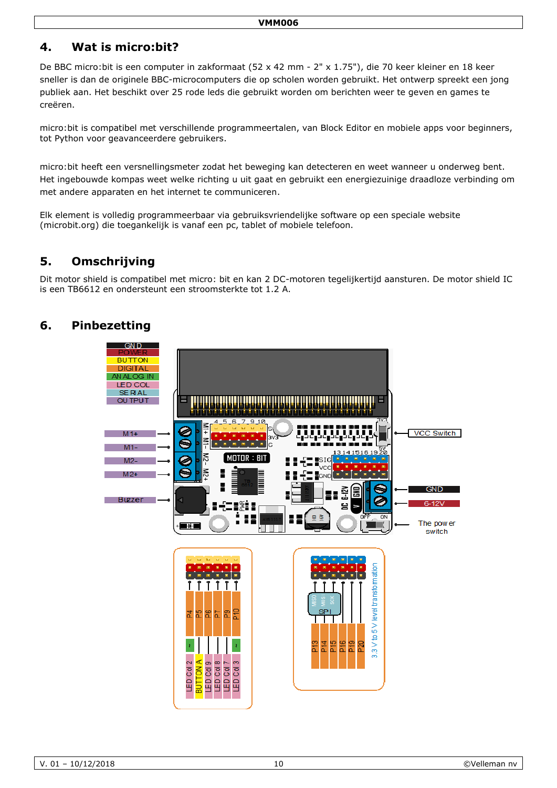# **4. Wat is micro:bit?**

De BBC micro:bit is een computer in zakformaat (52 x 42 mm - 2" x 1.75"), die 70 keer kleiner en 18 keer sneller is dan de originele BBC-microcomputers die op scholen worden gebruikt. Het ontwerp spreekt een jong publiek aan. Het beschikt over 25 rode leds die gebruikt worden om berichten weer te geven en games te creëren.

micro:bit is compatibel met verschillende programmeertalen, van Block Editor en mobiele apps voor beginners, tot Python voor geavanceerdere gebruikers.

micro:bit heeft een versnellingsmeter zodat het beweging kan detecteren en weet wanneer u onderweg bent. Het ingebouwde kompas weet welke richting u uit gaat en gebruikt een energiezuinige draadloze verbinding om met andere apparaten en het internet te communiceren.

Elk element is volledig programmeerbaar via gebruiksvriendelijke software op een speciale website (microbit.org) die toegankelijk is vanaf een pc, tablet of mobiele telefoon.

# **5. Omschrijving**

Dit motor shield is compatibel met micro: bit en kan 2 DC-motoren tegelijkertijd aansturen. De motor shield IC is een TB6612 en ondersteunt een stroomsterkte tot 1.2 A.

# **6. Pinbezetting**

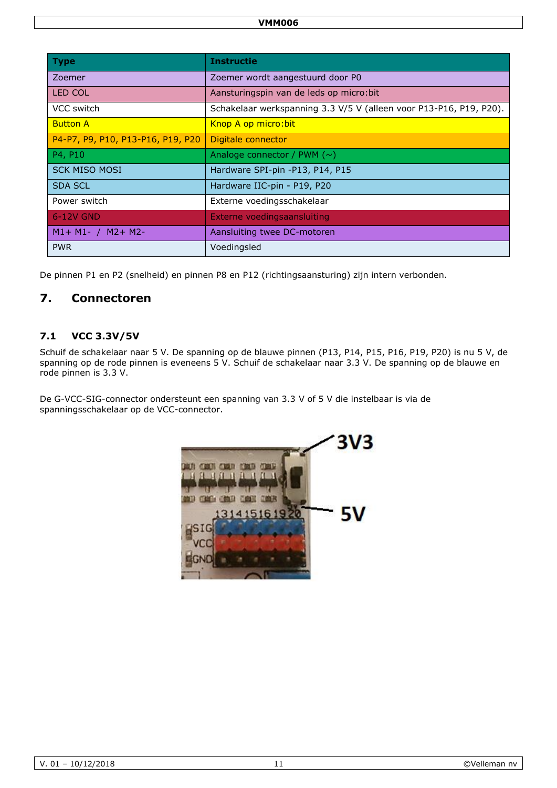| <b>Type</b>                       | <b>Instructie</b>                                                  |
|-----------------------------------|--------------------------------------------------------------------|
| Zoemer                            | Zoemer wordt aangestuurd door P0                                   |
| <b>LED COL</b>                    | Aansturingspin van de leds op micro: bit                           |
| VCC switch                        | Schakelaar werkspanning 3.3 V/5 V (alleen voor P13-P16, P19, P20). |
| <b>Button A</b>                   | Knop A op micro: bit                                               |
| P4-P7, P9, P10, P13-P16, P19, P20 | Digitale connector                                                 |
| P4, P10                           | Analoge connector / PWM $(\sim)$                                   |
| <b>SCK MISO MOSI</b>              | Hardware SPI-pin -P13, P14, P15                                    |
| <b>SDA SCL</b>                    | Hardware IIC-pin - P19, P20                                        |
| Power switch                      | Externe voedingsschakelaar                                         |
| 6-12V GND                         | Externe voedingsaansluiting                                        |
| $M1 + M1 - / M2 + M2$             | Aansluiting twee DC-motoren                                        |
| <b>PWR</b>                        | Voedingsled                                                        |

De pinnen P1 en P2 (snelheid) en pinnen P8 en P12 (richtingsaansturing) zijn intern verbonden.

# **7. Connectoren**

## **7.1 VCC 3.3V/5V**

Schuif de schakelaar naar 5 V. De spanning op de blauwe pinnen (P13, P14, P15, P16, P19, P20) is nu 5 V, de spanning op de rode pinnen is eveneens 5 V. Schuif de schakelaar naar 3.3 V. De spanning op de blauwe en rode pinnen is 3.3 V.

De G-VCC-SIG-connector ondersteunt een spanning van 3.3 V of 5 V die instelbaar is via de spanningsschakelaar op de VCC-connector.

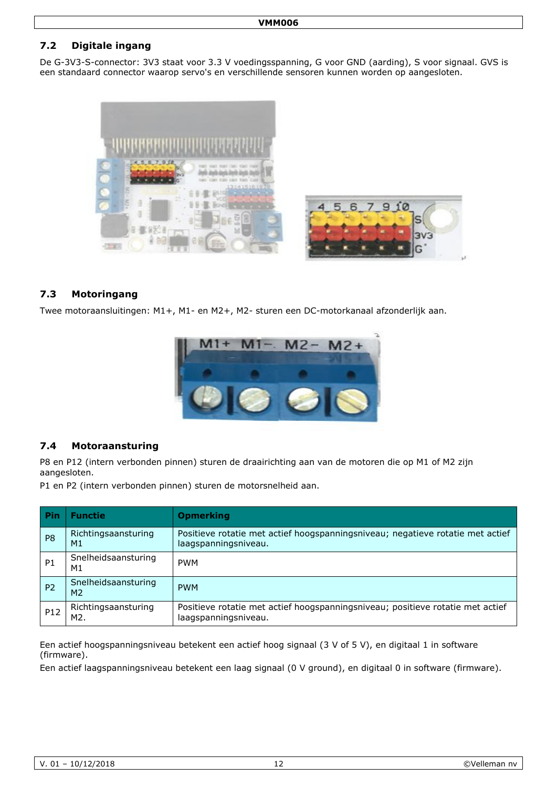## **7.2 Digitale ingang**

De G-3V3-S-connector: 3V3 staat voor 3.3 V voedingsspanning, G voor GND (aarding), S voor signaal. GVS is een standaard connector waarop servo's en verschillende sensoren kunnen worden op aangesloten.



#### **7.3 Motoringang**

Twee motoraansluitingen: M1+, M1- en M2+, M2- sturen een DC-motorkanaal afzonderlijk aan.



#### **7.4 Motoraansturing**

P8 en P12 (intern verbonden pinnen) sturen de draairichting aan van de motoren die op M1 of M2 zijn aangesloten.

P1 en P2 (intern verbonden pinnen) sturen de motorsnelheid aan.

| Pin             | <b>Functie</b>                        | <b>Opmerking</b>                                                                                       |
|-----------------|---------------------------------------|--------------------------------------------------------------------------------------------------------|
| P <sub>8</sub>  | Richtingsaansturing<br>M1             | Positieve rotatie met actief hoogspanningsniveau; negatieve rotatie met actief<br>laagspanningsniveau. |
| P <sub>1</sub>  | Snelheidsaansturing<br>M1             | <b>PWM</b>                                                                                             |
| P <sub>2</sub>  | Snelheidsaansturing<br>M <sub>2</sub> | <b>PWM</b>                                                                                             |
| P <sub>12</sub> | Richtingsaansturing<br>M2.            | Positieve rotatie met actief hoogspanningsniveau; positieve rotatie met actief<br>laagspanningsniveau. |

Een actief hoogspanningsniveau betekent een actief hoog signaal (3 V of 5 V), en digitaal 1 in software (firmware).

Een actief laagspanningsniveau betekent een laag signaal (0 V ground), en digitaal 0 in software (firmware).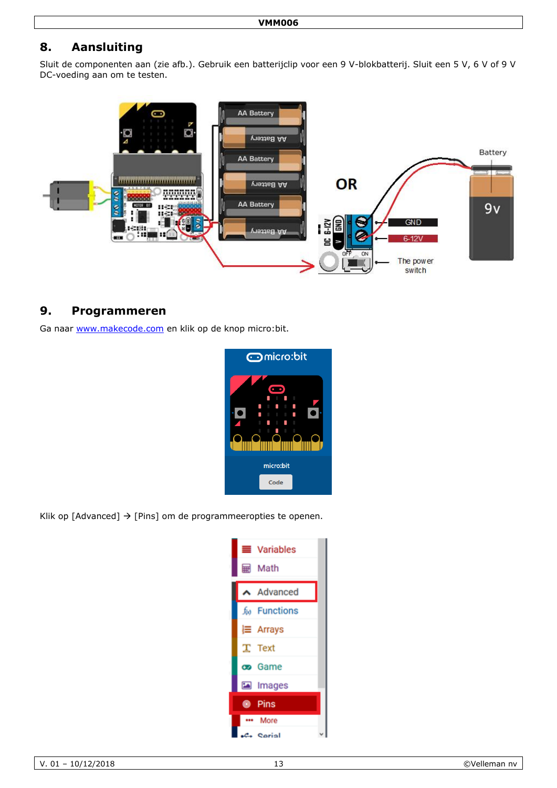# **8. Aansluiting**

Sluit de componenten aan (zie afb.). Gebruik een batterijclip voor een 9 V-blokbatterij. Sluit een 5 V, 6 V of 9 V DC-voeding aan om te testen.



## **9. Programmeren**

Ga naar [www.makecode.com](http://www.makecode.com/) en klik op de knop micro:bit.



Klik op [Advanced]  $\rightarrow$  [Pins] om de programmeeropties te openen.

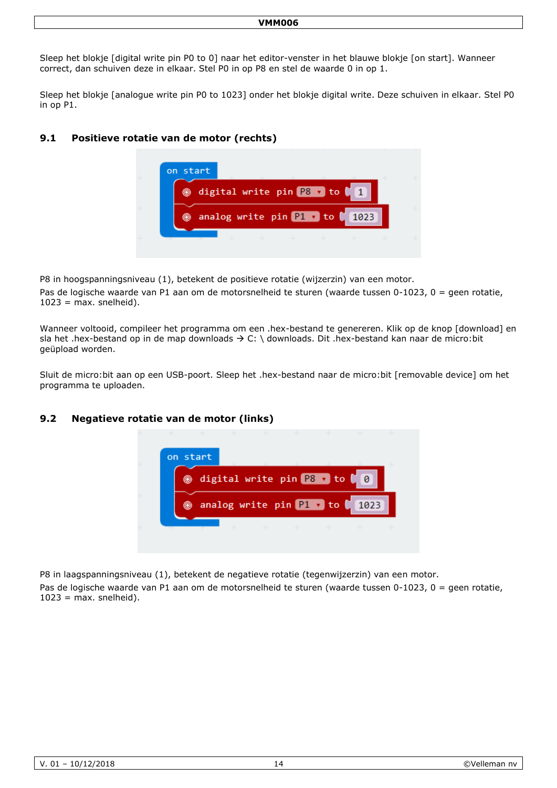#### **VMM006**

Sleep het blokje [digital write pin P0 to 0] naar het editor-venster in het blauwe blokje [on start]. Wanneer correct, dan schuiven deze in elkaar. Stel P0 in op P8 en stel de waarde 0 in op 1.

Sleep het blokje [analogue write pin P0 to 1023] onder het blokje digital write. Deze schuiven in elkaar. Stel P0 in op P1.

#### **9.1 Positieve rotatie van de motor (rechts)**



P8 in hoogspanningsniveau (1), betekent de positieve rotatie (wijzerzin) van een motor.

Pas de logische waarde van P1 aan om de motorsnelheid te sturen (waarde tussen 0-1023, 0 = geen rotatie,  $1023$  = max. snelheid).

Wanneer voltooid, compileer het programma om een .hex-bestand te genereren. Klik op de knop [download] en sla het .hex-bestand op in de map downloads  $\rightarrow$  C: \ downloads. Dit .hex-bestand kan naar de micro:bit geüpload worden.

Sluit de micro:bit aan op een USB-poort. Sleep het .hex-bestand naar de micro:bit [removable device] om het programma te uploaden.

#### **9.2 Negatieve rotatie van de motor (links)**



P8 in laagspanningsniveau (1), betekent de negatieve rotatie (tegenwijzerzin) van een motor.

Pas de logische waarde van P1 aan om de motorsnelheid te sturen (waarde tussen 0-1023, 0 = geen rotatie,  $1023$  = max. snelheid).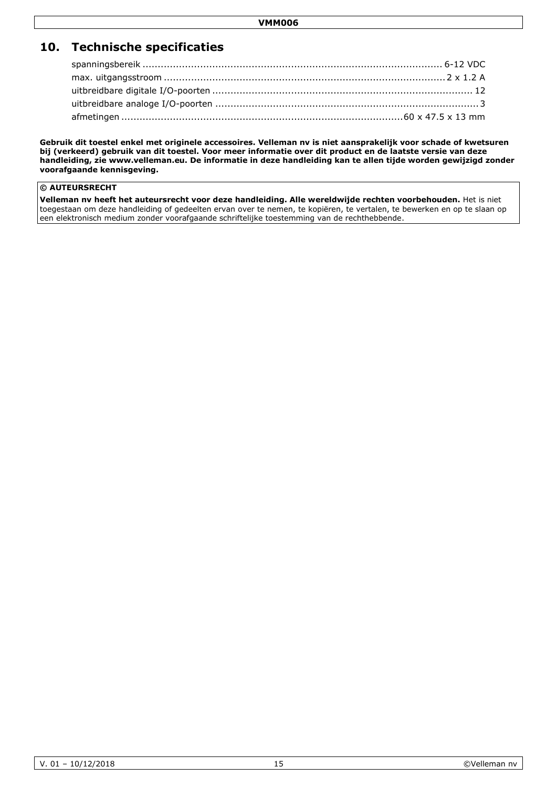# **10. Technische specificaties**

**Gebruik dit toestel enkel met originele accessoires. Velleman nv is niet aansprakelijk voor schade of kwetsuren bij (verkeerd) gebruik van dit toestel. Voor meer informatie over dit product en de laatste versie van deze handleiding, zie www.velleman.eu. De informatie in deze handleiding kan te allen tijde worden gewijzigd zonder voorafgaande kennisgeving.**

#### **© AUTEURSRECHT**

**Velleman nv heeft het auteursrecht voor deze handleiding. Alle wereldwijde rechten voorbehouden.** Het is niet toegestaan om deze handleiding of gedeelten ervan over te nemen, te kopiëren, te vertalen, te bewerken en op te slaan op een elektronisch medium zonder voorafgaande schriftelijke toestemming van de rechthebbende.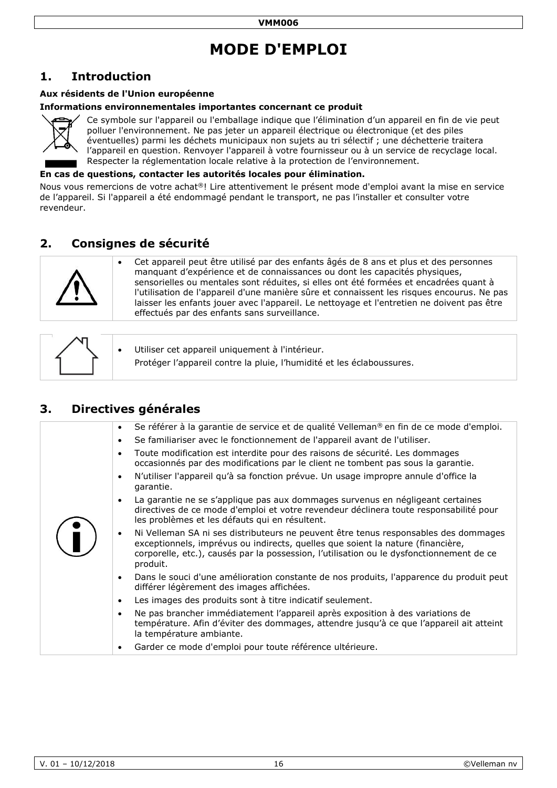# **MODE D'EMPLOI**

# <span id="page-15-0"></span>**1. Introduction**

#### **Aux résidents de l'Union européenne**

#### **Informations environnementales importantes concernant ce produit**



Ce symbole sur l'appareil ou l'emballage indique que l'élimination d'un appareil en fin de vie peut polluer l'environnement. Ne pas jeter un appareil électrique ou électronique (et des piles éventuelles) parmi les déchets municipaux non sujets au tri sélectif ; une déchetterie traitera l'appareil en question. Renvoyer l'appareil à votre fournisseur ou à un service de recyclage local. Respecter la réglementation locale relative à la protection de l'environnement.

#### **En cas de questions, contacter les autorités locales pour élimination.**

Nous vous remercions de votre achat®! Lire attentivement le présent mode d'emploi avant la mise en service de l'appareil. Si l'appareil a été endommagé pendant le transport, ne pas l'installer et consulter votre revendeur.

# **2. Consignes de sécurité**



 Cet appareil peut être utilisé par des enfants âgés de 8 ans et plus et des personnes manquant d'expérience et de connaissances ou dont les capacités physiques, sensorielles ou mentales sont réduites, si elles ont été formées et encadrées quant à l'utilisation de l'appareil d'une manière sûre et connaissent les risques encourus. Ne pas laisser les enfants jouer avec l'appareil. Le nettoyage et l'entretien ne doivent pas être effectués par des enfants sans surveillance.

|  | Utiliser cet appareil uniquement à l'intérieur.<br>Protéger l'appareil contre la pluie, l'humidité et les éclaboussures. |
|--|--------------------------------------------------------------------------------------------------------------------------|
|--|--------------------------------------------------------------------------------------------------------------------------|

# **3. Directives générales**

|  | Se référer à la garantie de service et de qualité Velleman® en fin de ce mode d'emploi.<br>$\bullet$                                                                                                                                                                                        |
|--|---------------------------------------------------------------------------------------------------------------------------------------------------------------------------------------------------------------------------------------------------------------------------------------------|
|  | Se familiariser avec le fonctionnement de l'appareil avant de l'utiliser.<br>$\bullet$                                                                                                                                                                                                      |
|  | Toute modification est interdite pour des raisons de sécurité. Les dommages<br>$\bullet$<br>occasionnés par des modifications par le client ne tombent pas sous la garantie.                                                                                                                |
|  | N'utiliser l'appareil qu'à sa fonction prévue. Un usage impropre annule d'office la<br>$\bullet$<br>garantie.                                                                                                                                                                               |
|  | La garantie ne se s'applique pas aux dommages survenus en négligeant certaines<br>$\bullet$<br>directives de ce mode d'emploi et votre revendeur déclinera toute responsabilité pour<br>les problèmes et les défauts qui en résultent.                                                      |
|  | Ni Velleman SA ni ses distributeurs ne peuvent être tenus responsables des dommages<br>$\bullet$<br>exceptionnels, imprévus ou indirects, quelles que soient la nature (financière,<br>corporelle, etc.), causés par la possession, l'utilisation ou le dysfonctionnement de ce<br>produit. |
|  | Dans le souci d'une amélioration constante de nos produits, l'apparence du produit peut<br>$\bullet$<br>différer légèrement des images affichées.                                                                                                                                           |
|  | Les images des produits sont à titre indicatif seulement.<br>$\bullet$                                                                                                                                                                                                                      |
|  | Ne pas brancher immédiatement l'appareil après exposition à des variations de<br>$\bullet$<br>température. Afin d'éviter des dommages, attendre jusqu'à ce que l'appareil ait atteint<br>la température ambiante.                                                                           |
|  | Garder ce mode d'emploi pour toute référence ultérieure.<br>$\bullet$                                                                                                                                                                                                                       |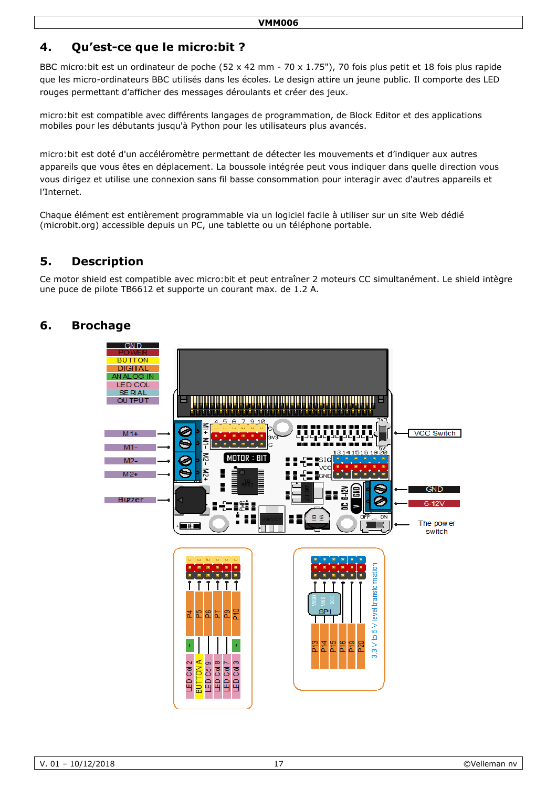# **4. Qu'est-ce que le micro:bit ?**

BBC micro:bit est un ordinateur de poche (52 x 42 mm - 70 x 1.75"), 70 fois plus petit et 18 fois plus rapide que les micro-ordinateurs BBC utilisés dans les écoles. Le design attire un jeune public. Il comporte des LED rouges permettant d'afficher des messages déroulants et créer des jeux.

micro:bit est compatible avec différents langages de programmation, de Block Editor et des applications mobiles pour les débutants jusqu'à Python pour les utilisateurs plus avancés.

micro:bit est doté d'un accéléromètre permettant de détecter les mouvements et d'indiquer aux autres appareils que vous êtes en déplacement. La boussole intégrée peut vous indiquer dans quelle direction vous vous dirigez et utilise une connexion sans fil basse consommation pour interagir avec d'autres appareils et l'Internet.

Chaque élément est entièrement programmable via un logiciel facile à utiliser sur un site Web dédié (microbit.org) accessible depuis un PC, une tablette ou un téléphone portable.

# **5. Description**

Ce motor shield est compatible avec micro:bit et peut entraîner 2 moteurs CC simultanément. Le shield intègre une puce de pilote TB6612 et supporte un courant max. de 1.2 A.

# **6. Brochage**

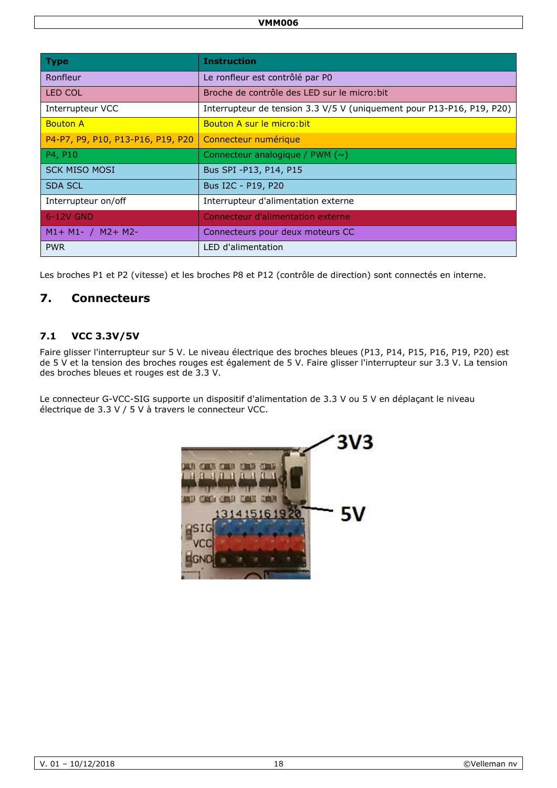| <b>Type</b>                       | <b>Instruction</b>                                                    |
|-----------------------------------|-----------------------------------------------------------------------|
| Ronfleur                          | Le ronfleur est contrôlé par P0                                       |
| <b>LED COL</b>                    | Broche de contrôle des LED sur le micro: bit                          |
| Interrupteur VCC                  | Interrupteur de tension 3.3 V/5 V (uniquement pour P13-P16, P19, P20) |
| <b>Bouton A</b>                   | Bouton A sur le micro: bit                                            |
| P4-P7, P9, P10, P13-P16, P19, P20 | Connecteur numérique                                                  |
| P4, P10                           | Connecteur analogique / PWM $(\sim)$                                  |
| <b>SCK MISO MOSI</b>              | Bus SPI - P13, P14, P15                                               |
| <b>SDA SCL</b>                    | Bus I2C - P19, P20                                                    |
| Interrupteur on/off               | Interrupteur d'alimentation externe                                   |
| 6-12V GND                         | Connecteur d'alimentation externe                                     |
| $M1+ M1- / M2+ M2-$               | Connecteurs pour deux moteurs CC                                      |
| <b>PWR</b>                        | LED d'alimentation                                                    |

Les broches P1 et P2 (vitesse) et les broches P8 et P12 (contrôle de direction) sont connectés en interne.

# **7. Connecteurs**

### **7.1 VCC 3.3V/5V**

Faire glisser l'interrupteur sur 5 V. Le niveau électrique des broches bleues (P13, P14, P15, P16, P19, P20) est de 5 V et la tension des broches rouges est également de 5 V. Faire glisser l'interrupteur sur 3.3 V. La tension des broches bleues et rouges est de 3.3 V.

Le connecteur G-VCC-SIG supporte un dispositif d'alimentation de 3.3 V ou 5 V en déplaçant le niveau électrique de 3.3 V / 5 V à travers le connecteur VCC.

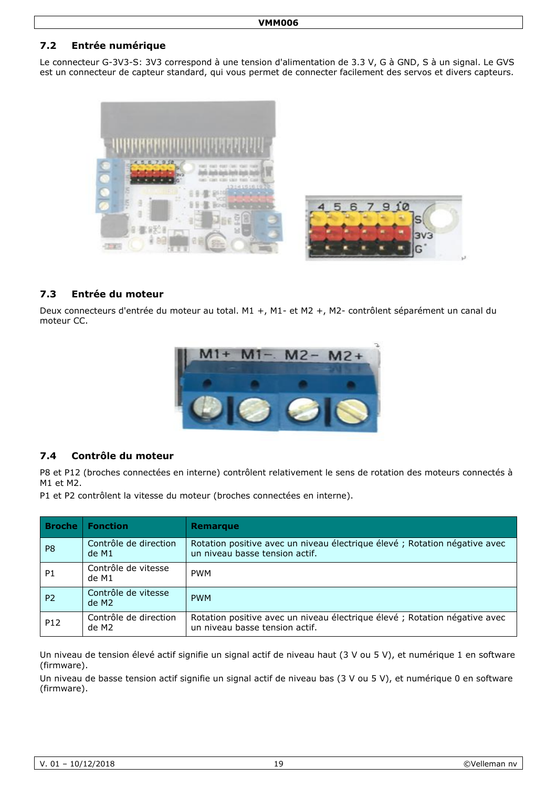### **7.2 Entrée numérique**

Le connecteur G-3V3-S: 3V3 correspond à une tension d'alimentation de 3.3 V, G à GND, S à un signal. Le GVS est un connecteur de capteur standard, qui vous permet de connecter facilement des servos et divers capteurs.



#### **7.3 Entrée du moteur**

Deux connecteurs d'entrée du moteur au total. M1 +, M1- et M2 +, M2- contrôlent séparément un canal du moteur CC.



#### **7.4 Contrôle du moteur**

P8 et P12 (broches connectées en interne) contrôlent relativement le sens de rotation des moteurs connectés à M1 et M2.

P1 et P2 contrôlent la vitesse du moteur (broches connectées en interne).

| <b>Broche</b>  | <b>Fonction</b>                          | Remarque                                                                                                     |
|----------------|------------------------------------------|--------------------------------------------------------------------------------------------------------------|
| P <sub>8</sub> | Contrôle de direction<br>de M1           | Rotation positive avec un niveau électrique élevé ; Rotation négative avec<br>un niveau basse tension actif. |
| <b>P1</b>      | Contrôle de vitesse<br>de M1             | <b>PWM</b>                                                                                                   |
| P <sub>2</sub> | Contrôle de vitesse<br>de M <sub>2</sub> | <b>PWM</b>                                                                                                   |
| P12            | Contrôle de direction<br>de M2           | Rotation positive avec un niveau électrique élevé ; Rotation négative avec<br>un niveau basse tension actif. |

Un niveau de tension élevé actif signifie un signal actif de niveau haut (3 V ou 5 V), et numérique 1 en software (firmware).

Un niveau de basse tension actif signifie un signal actif de niveau bas (3 V ou 5 V), et numérique 0 en software (firmware).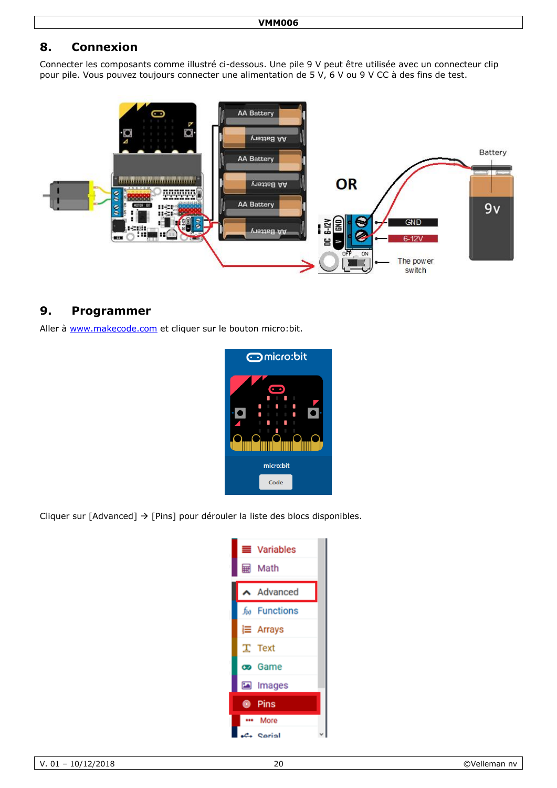# **8. Connexion**

Connecter les composants comme illustré ci-dessous. Une pile 9 V peut être utilisée avec un connecteur clip pour pile. Vous pouvez toujours connecter une alimentation de 5 V, 6 V ou 9 V CC à des fins de test.



## **9. Programmer**

Aller à [www.makecode.com](http://www.makecode.com/) et cliquer sur le bouton micro:bit.



Cliquer sur [Advanced]  $\rightarrow$  [Pins] pour dérouler la liste des blocs disponibles.

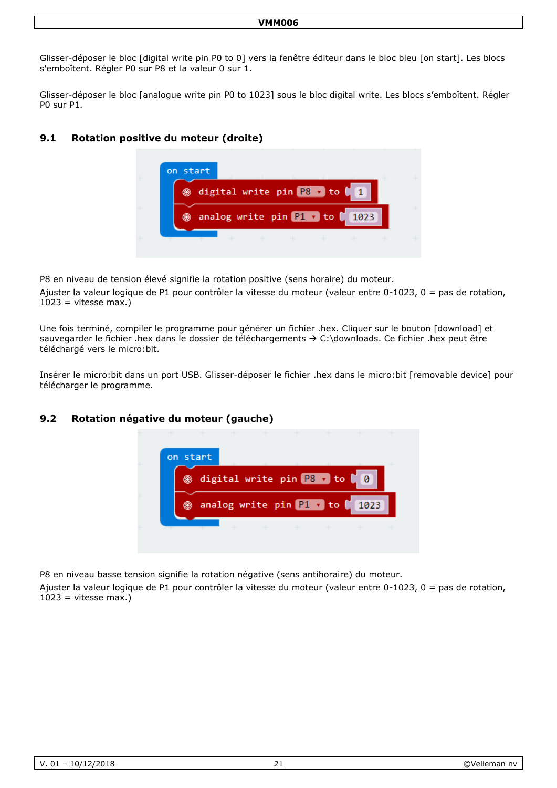Glisser-déposer le bloc [digital write pin P0 to 0] vers la fenêtre éditeur dans le bloc bleu [on start]. Les blocs s'emboîtent. Régler P0 sur P8 et la valeur 0 sur 1.

Glisser-déposer le bloc [analogue write pin P0 to 1023] sous le bloc digital write. Les blocs s'emboîtent. Régler P0 sur P1.

### **9.1 Rotation positive du moteur (droite)**



P8 en niveau de tension élevé signifie la rotation positive (sens horaire) du moteur.

Ajuster la valeur logique de P1 pour contrôler la vitesse du moteur (valeur entre 0-1023, 0 = pas de rotation,  $1023$  = vitesse max.)

Une fois terminé, compiler le programme pour générer un fichier .hex. Cliquer sur le bouton [download] et sauvegarder le fichier .hex dans le dossier de téléchargements  $\rightarrow$  C:\downloads. Ce fichier .hex peut être téléchargé vers le micro:bit.

Insérer le micro:bit dans un port USB. Glisser-déposer le fichier .hex dans le micro:bit [removable device] pour télécharger le programme.

#### **9.2 Rotation négative du moteur (gauche)**



P8 en niveau basse tension signifie la rotation négative (sens antihoraire) du moteur.

Ajuster la valeur logique de P1 pour contrôler la vitesse du moteur (valeur entre 0-1023, 0 = pas de rotation,  $1023$  = vitesse max.)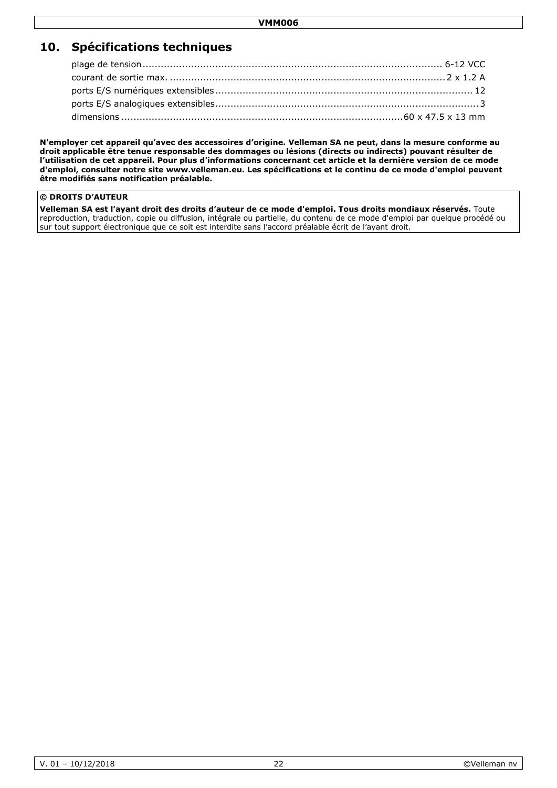# **10. Spécifications techniques**

**N'employer cet appareil qu'avec des accessoires d'origine. Velleman SA ne peut, dans la mesure conforme au droit applicable être tenue responsable des dommages ou lésions (directs ou indirects) pouvant résulter de l'utilisation de cet appareil. Pour plus d'informations concernant cet article et la dernière version de ce mode d'emploi, consulter notre site www.velleman.eu. Les spécifications et le continu de ce mode d'emploi peuvent être modifiés sans notification préalable.**

#### **© DROITS D'AUTEUR**

**Velleman SA est l'ayant droit des droits d'auteur de ce mode d'emploi. Tous droits mondiaux réservés.** Toute reproduction, traduction, copie ou diffusion, intégrale ou partielle, du contenu de ce mode d'emploi par quelque procédé ou sur tout support électronique que ce soit est interdite sans l'accord préalable écrit de l'ayant droit.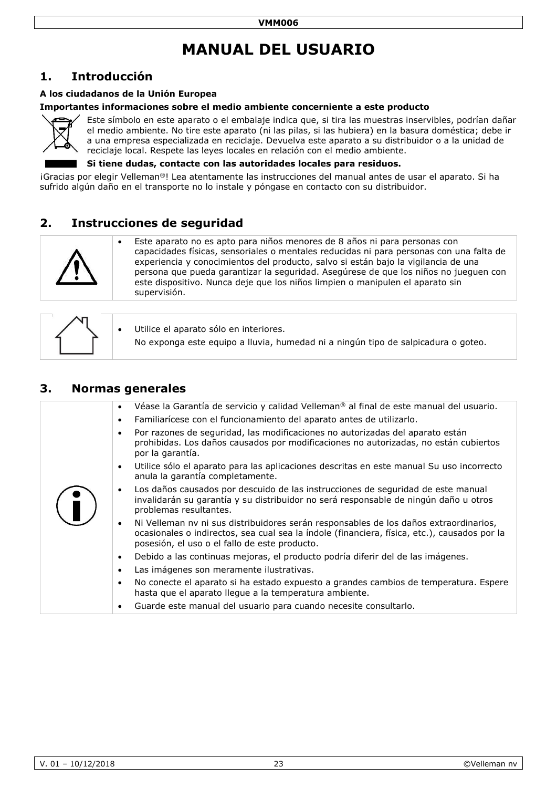# **MANUAL DEL USUARIO**

# <span id="page-22-0"></span>**1. Introducción**

#### **A los ciudadanos de la Unión Europea**

#### **Importantes informaciones sobre el medio ambiente concerniente a este producto**



Este símbolo en este aparato o el embalaje indica que, si tira las muestras inservibles, podrían dañar el medio ambiente. No tire este aparato (ni las pilas, si las hubiera) en la basura doméstica; debe ir a una empresa especializada en reciclaje. Devuelva este aparato a su distribuidor o a la unidad de reciclaje local. Respete las leyes locales en relación con el medio ambiente.

#### **Si tiene dudas, contacte con las autoridades locales para residuos.**

¡Gracias por elegir Velleman®! Lea atentamente las instrucciones del manual antes de usar el aparato. Si ha sufrido algún daño en el transporte no lo instale y póngase en contacto con su distribuidor.

# **2. Instrucciones de seguridad**



 Este aparato no es apto para niños menores de 8 años ni para personas con capacidades físicas, sensoriales o mentales reducidas ni para personas con una falta de experiencia y conocimientos del producto, salvo si están bajo la vigilancia de una persona que pueda garantizar la seguridad. Asegúrese de que los niños no jueguen con este dispositivo. Nunca deje que los niños limpien o manipulen el aparato sin supervisión.

|  | Utilice el aparato sólo en interiores.                                            |
|--|-----------------------------------------------------------------------------------|
|  | No exponga este equipo a lluvia, humedad ni a ningún tipo de salpicadura o goteo. |

### **3. Normas generales**

| Véase la Garantía de servicio y calidad Velleman <sup>®</sup> al final de este manual del usuario.<br>$\bullet$<br>Familiarícese con el funcionamiento del aparato antes de utilizarlo.<br>$\bullet$                                                |
|-----------------------------------------------------------------------------------------------------------------------------------------------------------------------------------------------------------------------------------------------------|
| Por razones de seguridad, las modificaciones no autorizadas del aparato están<br>$\bullet$<br>prohibidas. Los daños causados por modificaciones no autorizadas, no están cubiertos<br>por la garantía.                                              |
| Utilice sólo el aparato para las aplicaciones descritas en este manual Su uso incorrecto<br>$\bullet$<br>anula la garantía completamente.                                                                                                           |
| Los daños causados por descuido de las instrucciones de seguridad de este manual<br>$\bullet$<br>invalidarán su garantía y su distribuidor no será responsable de ningún daño u otros<br>problemas resultantes.                                     |
| Ni Velleman nv ni sus distribuidores serán responsables de los daños extraordinarios,<br>$\bullet$<br>ocasionales o indirectos, sea cual sea la índole (financiera, física, etc.), causados por la<br>posesión, el uso o el fallo de este producto. |
| Debido a las continuas mejoras, el producto podría diferir del de las imágenes.<br>$\bullet$                                                                                                                                                        |
| Las imágenes son meramente ilustrativas.<br>$\bullet$                                                                                                                                                                                               |
| No conecte el aparato si ha estado expuesto a grandes cambios de temperatura. Espere<br>$\bullet$<br>hasta que el aparato llegue a la temperatura ambiente.                                                                                         |
| Guarde este manual del usuario para cuando necesite consultarlo.<br>$\bullet$                                                                                                                                                                       |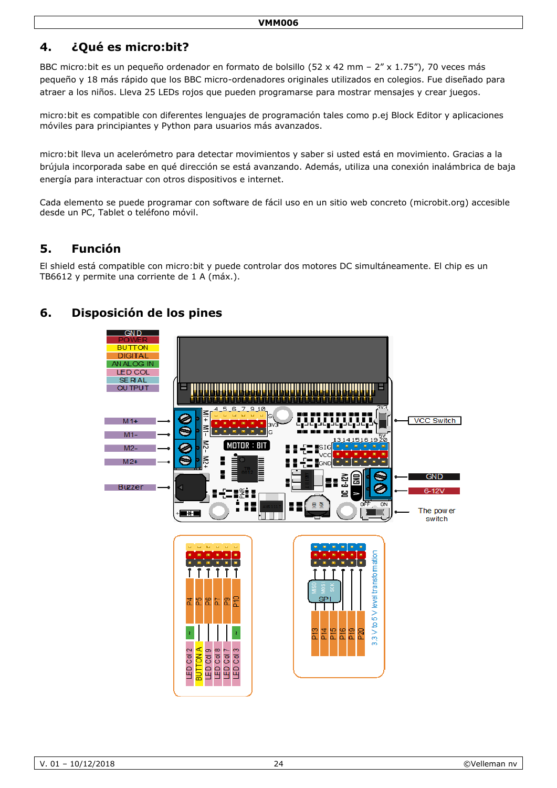# **4. ¿Qué es micro:bit?**

BBC micro:bit es un pequeño ordenador en formato de bolsillo (52 x 42 mm – 2" x 1.75"), 70 veces más pequeño y 18 más rápido que los BBC micro-ordenadores originales utilizados en colegios. Fue diseñado para atraer a los niños. Lleva 25 LEDs rojos que pueden programarse para mostrar mensajes y crear juegos.

micro:bit es compatible con diferentes lenguajes de programación tales como p.ej Block Editor y aplicaciones móviles para principiantes y Python para usuarios más avanzados.

micro:bit lleva un acelerómetro para detectar movimientos y saber si usted está en movimiento. Gracias a la brújula incorporada sabe en qué dirección se está avanzando. Además, utiliza una conexión inalámbrica de baja energía para interactuar con otros dispositivos e internet.

Cada elemento se puede programar con software de fácil uso en un sitio web concreto (microbit.org) accesible desde un PC, Tablet o teléfono móvil.

# **5. Función**

El shield está compatible con micro:bit y puede controlar dos motores DC simultáneamente. El chip es un TB6612 y permite una corriente de 1 A (máx.).

# **6. Disposición de los pines**

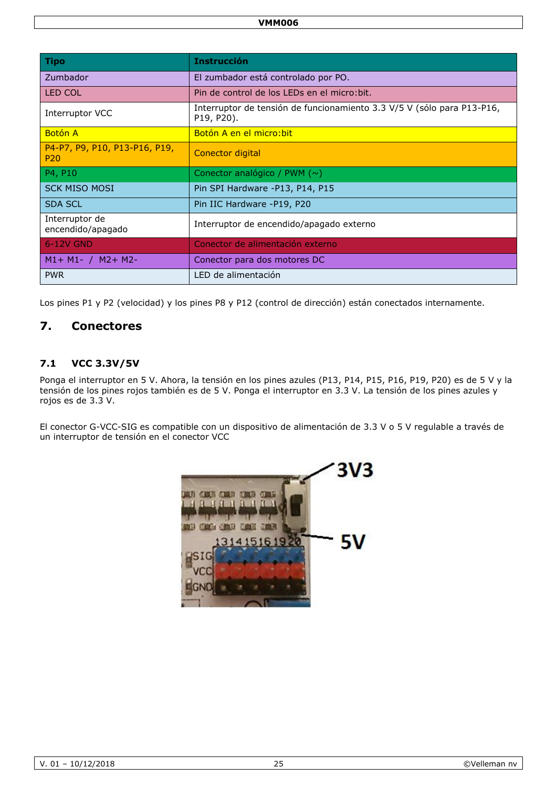| <b>Tipo</b>                                      | <b>Instrucción</b>                                                                   |
|--------------------------------------------------|--------------------------------------------------------------------------------------|
| Zumbador                                         | El zumbador está controlado por PO.                                                  |
| LED COL                                          | Pin de control de los LEDs en el micro: bit.                                         |
| Interruptor VCC                                  | Interruptor de tensión de funcionamiento 3.3 V/5 V (sólo para P13-P16,<br>P19, P20). |
| <b>Botón A</b>                                   | Botón A en el micro: bit                                                             |
| P4-P7, P9, P10, P13-P16, P19,<br>P <sub>20</sub> | <b>Conector digital</b>                                                              |
| P4, P10                                          | Conector analógico / PWM $(\sim)$                                                    |
| <b>SCK MISO MOSI</b>                             | Pin SPI Hardware -P13, P14, P15                                                      |
| <b>SDA SCL</b>                                   | Pin IIC Hardware -P19, P20                                                           |
| Interruptor de<br>encendido/apagado              | Interruptor de encendido/apagado externo                                             |
| 6-12V GND                                        | Conector de alimentación externo                                                     |
| $M1 + M1 - / M2 + M2$                            | Conector para dos motores DC                                                         |
| <b>PWR</b>                                       | LED de alimentación                                                                  |

Los pines P1 y P2 (velocidad) y los pines P8 y P12 (control de dirección) están conectados internamente.

## **7. Conectores**

#### **7.1 VCC 3.3V/5V**

Ponga el interruptor en 5 V. Ahora, la tensión en los pines azules (P13, P14, P15, P16, P19, P20) es de 5 V y la tensión de los pines rojos también es de 5 V. Ponga el interruptor en 3.3 V. La tensión de los pines azules y rojos es de 3.3 V.

El conector G-VCC-SIG es compatible con un dispositivo de alimentación de 3.3 V o 5 V regulable a través de un interruptor de tensión en el conector VCC

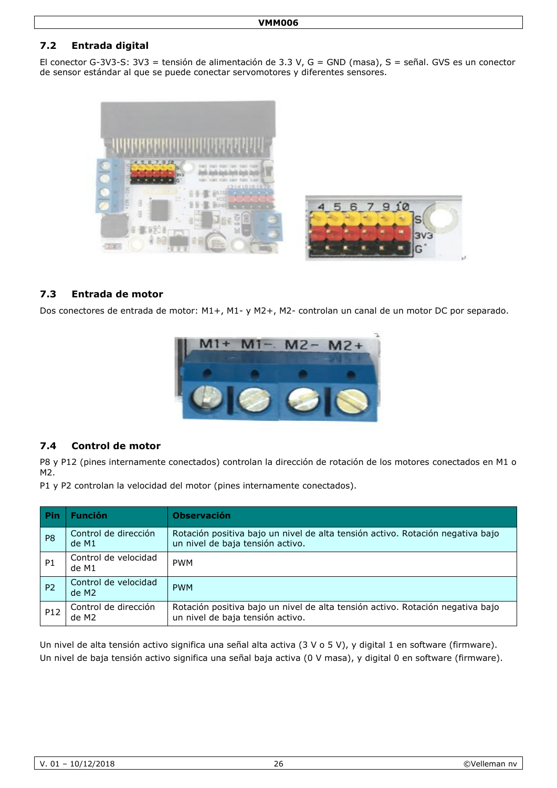## **7.2 Entrada digital**

El conector G-3V3-S: 3V3 = tensión de alimentación de 3.3 V, G = GND (masa), S = señal. GVS es un conector de sensor estándar al que se puede conectar servomotores y diferentes sensores.



#### **7.3 Entrada de motor**

Dos conectores de entrada de motor: M1+, M1- y M2+, M2- controlan un canal de un motor DC por separado.



#### **7.4 Control de motor**

P8 y P12 (pines internamente conectados) controlan la dirección de rotación de los motores conectados en M1 o M2.

P1 y P2 controlan la velocidad del motor (pines internamente conectados).

| <b>Pin</b>     | <b>Función</b>                            | <b>Observación</b>                                                                                                 |
|----------------|-------------------------------------------|--------------------------------------------------------------------------------------------------------------------|
| P <sub>8</sub> | Control de dirección<br>de M1             | Rotación positiva bajo un nivel de alta tensión activo. Rotación negativa bajo<br>un nivel de baja tensión activo. |
| P1             | Control de velocidad<br>de M1             | <b>PWM</b>                                                                                                         |
| P <sub>2</sub> | Control de velocidad<br>de M <sub>2</sub> | <b>PWM</b>                                                                                                         |
| P12            | Control de dirección<br>de M2             | Rotación positiva bajo un nivel de alta tensión activo. Rotación negativa bajo<br>un nivel de baja tensión activo. |

Un nivel de alta tensión activo significa una señal alta activa (3 V o 5 V), y digital 1 en software (firmware). Un nivel de baja tensión activo significa una señal baja activa (0 V masa), y digital 0 en software (firmware).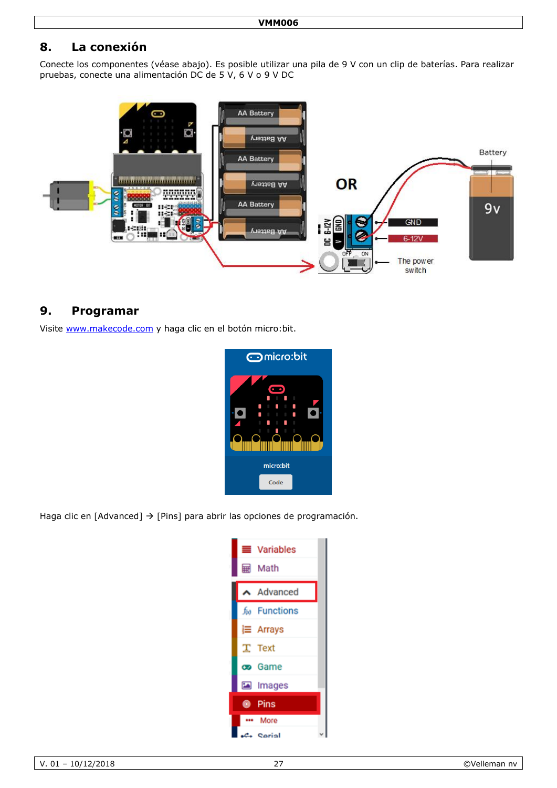# **8. La conexión**

Conecte los componentes (véase abajo). Es posible utilizar una pila de 9 V con un clip de baterías. Para realizar pruebas, conecte una alimentación DC de 5 V, 6 V o 9 V DC



## **9. Programar**

Visite [www.makecode.com](http://www.makecode.com/) y haga clic en el botón micro:bit.



Haga clic en [Advanced]  $\rightarrow$  [Pins] para abrir las opciones de programación.

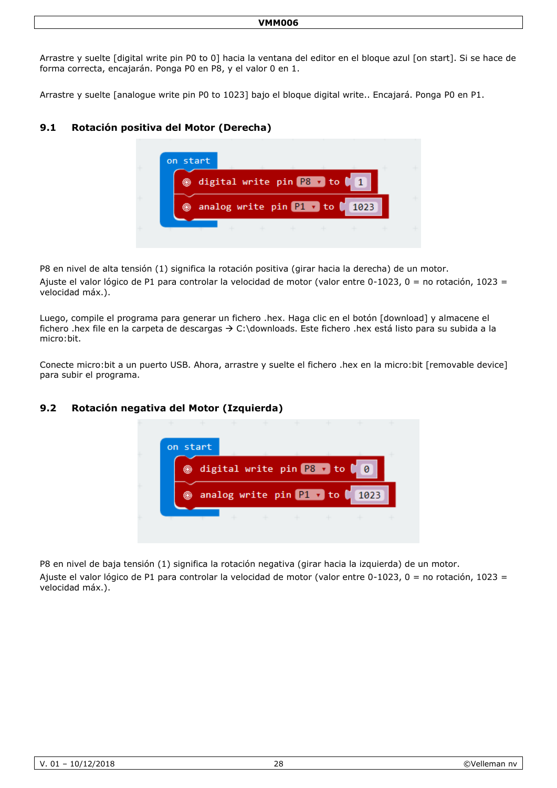Arrastre y suelte [digital write pin P0 to 0] hacia la ventana del editor en el bloque azul [on start]. Si se hace de forma correcta, encajarán. Ponga P0 en P8, y el valor 0 en 1.

Arrastre y suelte [analogue write pin P0 to 1023] bajo el bloque digital write.. Encajará. Ponga P0 en P1.

### **9.1 Rotación positiva del Motor (Derecha)**



P8 en nivel de alta tensión (1) significa la rotación positiva (girar hacia la derecha) de un motor. Ajuste el valor lógico de P1 para controlar la velocidad de motor (valor entre 0-1023, 0 = no rotación, 1023 = velocidad máx.).

Luego, compile el programa para generar un fichero .hex. Haga clic en el botón [download] y almacene el fichero .hex file en la carpeta de descargas  $\rightarrow$  C:\downloads. Este fichero .hex está listo para su subida a la micro:bit.

Conecte micro:bit a un puerto USB. Ahora, arrastre y suelte el fichero .hex en la micro:bit [removable device] para subir el programa.

#### **9.2 Rotación negativa del Motor (Izquierda)**



P8 en nivel de baja tensión (1) significa la rotación negativa (girar hacia la izquierda) de un motor.

Ajuste el valor lógico de P1 para controlar la velocidad de motor (valor entre 0-1023, 0 = no rotación, 1023 = velocidad máx.).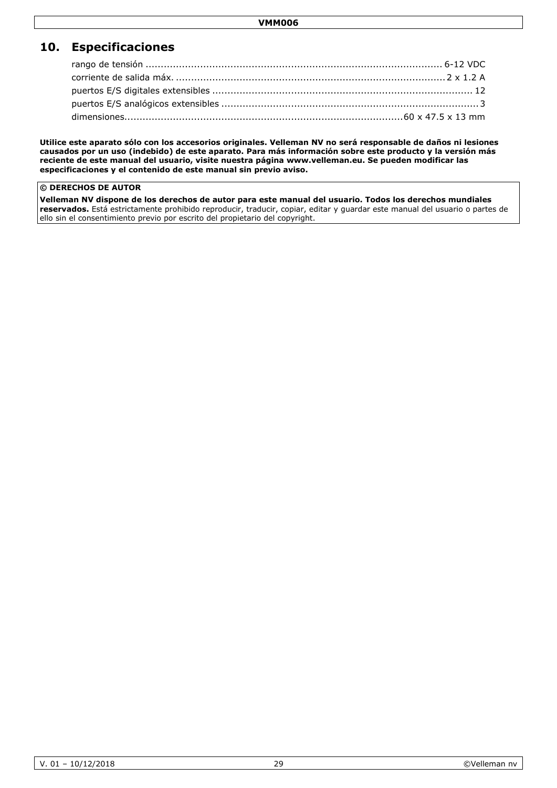# **10. Especificaciones**

**Utilice este aparato sólo con los accesorios originales. Velleman NV no será responsable de daños ni lesiones causados por un uso (indebido) de este aparato. Para más información sobre este producto y la versión más reciente de este manual del usuario, visite nuestra página www.velleman.eu. Se pueden modificar las especificaciones y el contenido de este manual sin previo aviso.**

#### **© DERECHOS DE AUTOR**

**Velleman NV dispone de los derechos de autor para este manual del usuario. Todos los derechos mundiales reservados.** Está estrictamente prohibido reproducir, traducir, copiar, editar y guardar este manual del usuario o partes de ello sin el consentimiento previo por escrito del propietario del copyright.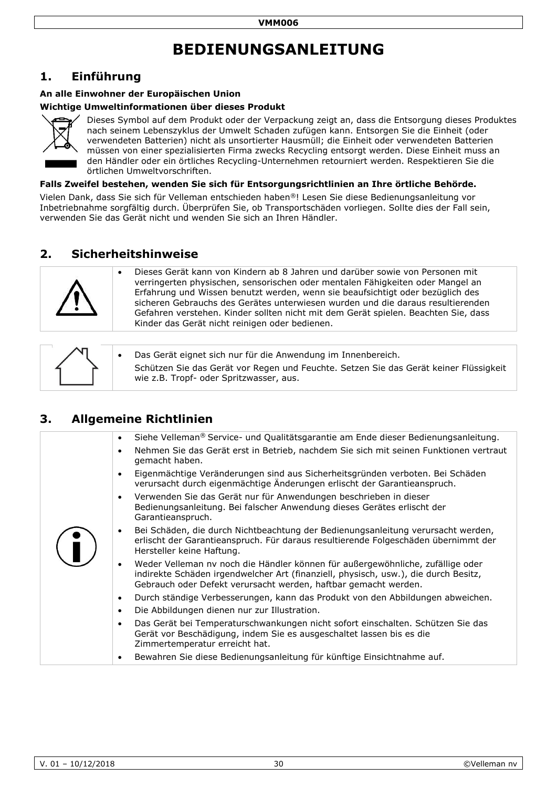# **BEDIENUNGSANLEITUNG**

# <span id="page-29-0"></span>**1. Einführung**

#### **An alle Einwohner der Europäischen Union**

#### **Wichtige Umweltinformationen über dieses Produkt**



Dieses Symbol auf dem Produkt oder der Verpackung zeigt an, dass die Entsorgung dieses Produktes nach seinem Lebenszyklus der Umwelt Schaden zufügen kann. Entsorgen Sie die Einheit (oder verwendeten Batterien) nicht als unsortierter Hausmüll; die Einheit oder verwendeten Batterien müssen von einer spezialisierten Firma zwecks Recycling entsorgt werden. Diese Einheit muss an den Händler oder ein örtliches Recycling-Unternehmen retourniert werden. Respektieren Sie die örtlichen Umweltvorschriften.

**Falls Zweifel bestehen, wenden Sie sich für Entsorgungsrichtlinien an Ihre örtliche Behörde.**

Vielen Dank, dass Sie sich für Velleman entschieden haben®! Lesen Sie diese Bedienungsanleitung vor Inbetriebnahme sorgfältig durch. Überprüfen Sie, ob Transportschäden vorliegen. Sollte dies der Fall sein, verwenden Sie das Gerät nicht und wenden Sie sich an Ihren Händler.

# **2. Sicherheitshinweise**



 Dieses Gerät kann von Kindern ab 8 Jahren und darüber sowie von Personen mit verringerten physischen, sensorischen oder mentalen Fähigkeiten oder Mangel an Erfahrung und Wissen benutzt werden, wenn sie beaufsichtigt oder bezüglich des sicheren Gebrauchs des Gerätes unterwiesen wurden und die daraus resultierenden Gefahren verstehen. Kinder sollten nicht mit dem Gerät spielen. Beachten Sie, dass Kinder das Gerät nicht reinigen oder bedienen.

|  | Das Gerät eignet sich nur für die Anwendung im Innenbereich.<br>Schützen Sie das Gerät vor Regen und Feuchte. Setzen Sie das Gerät keiner Flüssigkeit<br>wie z.B. Tropf- oder Spritzwasser, aus. |
|--|--------------------------------------------------------------------------------------------------------------------------------------------------------------------------------------------------|
|--|--------------------------------------------------------------------------------------------------------------------------------------------------------------------------------------------------|

# **3. Allgemeine Richtlinien**

| Siehe Velleman® Service- und Qualitätsgarantie am Ende dieser Bedienungsanleitung.<br>$\bullet$<br>$\bullet$<br>gemacht haben.<br>Eigenmächtige Veränderungen sind aus Sicherheitsgründen verboten. Bei Schäden<br>verursacht durch eigenmächtige Änderungen erlischt der Garantieanspruch.<br>Verwenden Sie das Gerät nur für Anwendungen beschrieben in dieser<br>$\bullet$<br>Bedienungsanleitung. Bei falscher Anwendung dieses Gerätes erlischt der<br>Garantieanspruch.<br>Bei Schäden, die durch Nichtbeachtung der Bedienungsanleitung verursacht werden,<br>erlischt der Garantieanspruch. Für daraus resultierende Folgeschäden übernimmt der<br>Hersteller keine Haftung.<br>Weder Velleman nv noch die Händler können für außergewöhnliche, zufällige oder<br>$\bullet$<br>indirekte Schäden irgendwelcher Art (finanziell, physisch, usw.), die durch Besitz,<br>Gebrauch oder Defekt verursacht werden, haftbar gemacht werden.<br>Durch ständige Verbesserungen, kann das Produkt von den Abbildungen abweichen.<br>٠<br>Die Abbildungen dienen nur zur Illustration.<br>$\bullet$<br>Das Gerät bei Temperaturschwankungen nicht sofort einschalten. Schützen Sie das<br>$\bullet$<br>Gerät vor Beschädigung, indem Sie es ausgeschaltet lassen bis es die<br>Zimmertemperatur erreicht hat. |  |                                                                                       |
|-------------------------------------------------------------------------------------------------------------------------------------------------------------------------------------------------------------------------------------------------------------------------------------------------------------------------------------------------------------------------------------------------------------------------------------------------------------------------------------------------------------------------------------------------------------------------------------------------------------------------------------------------------------------------------------------------------------------------------------------------------------------------------------------------------------------------------------------------------------------------------------------------------------------------------------------------------------------------------------------------------------------------------------------------------------------------------------------------------------------------------------------------------------------------------------------------------------------------------------------------------------------------------------------------------------|--|---------------------------------------------------------------------------------------|
|                                                                                                                                                                                                                                                                                                                                                                                                                                                                                                                                                                                                                                                                                                                                                                                                                                                                                                                                                                                                                                                                                                                                                                                                                                                                                                             |  |                                                                                       |
|                                                                                                                                                                                                                                                                                                                                                                                                                                                                                                                                                                                                                                                                                                                                                                                                                                                                                                                                                                                                                                                                                                                                                                                                                                                                                                             |  | Nehmen Sie das Gerät erst in Betrieb, nachdem Sie sich mit seinen Funktionen vertraut |
|                                                                                                                                                                                                                                                                                                                                                                                                                                                                                                                                                                                                                                                                                                                                                                                                                                                                                                                                                                                                                                                                                                                                                                                                                                                                                                             |  |                                                                                       |
|                                                                                                                                                                                                                                                                                                                                                                                                                                                                                                                                                                                                                                                                                                                                                                                                                                                                                                                                                                                                                                                                                                                                                                                                                                                                                                             |  |                                                                                       |
|                                                                                                                                                                                                                                                                                                                                                                                                                                                                                                                                                                                                                                                                                                                                                                                                                                                                                                                                                                                                                                                                                                                                                                                                                                                                                                             |  |                                                                                       |
|                                                                                                                                                                                                                                                                                                                                                                                                                                                                                                                                                                                                                                                                                                                                                                                                                                                                                                                                                                                                                                                                                                                                                                                                                                                                                                             |  |                                                                                       |
|                                                                                                                                                                                                                                                                                                                                                                                                                                                                                                                                                                                                                                                                                                                                                                                                                                                                                                                                                                                                                                                                                                                                                                                                                                                                                                             |  |                                                                                       |
|                                                                                                                                                                                                                                                                                                                                                                                                                                                                                                                                                                                                                                                                                                                                                                                                                                                                                                                                                                                                                                                                                                                                                                                                                                                                                                             |  |                                                                                       |
|                                                                                                                                                                                                                                                                                                                                                                                                                                                                                                                                                                                                                                                                                                                                                                                                                                                                                                                                                                                                                                                                                                                                                                                                                                                                                                             |  |                                                                                       |
|                                                                                                                                                                                                                                                                                                                                                                                                                                                                                                                                                                                                                                                                                                                                                                                                                                                                                                                                                                                                                                                                                                                                                                                                                                                                                                             |  | Bewahren Sie diese Bedienungsanleitung für künftige Einsichtnahme auf.                |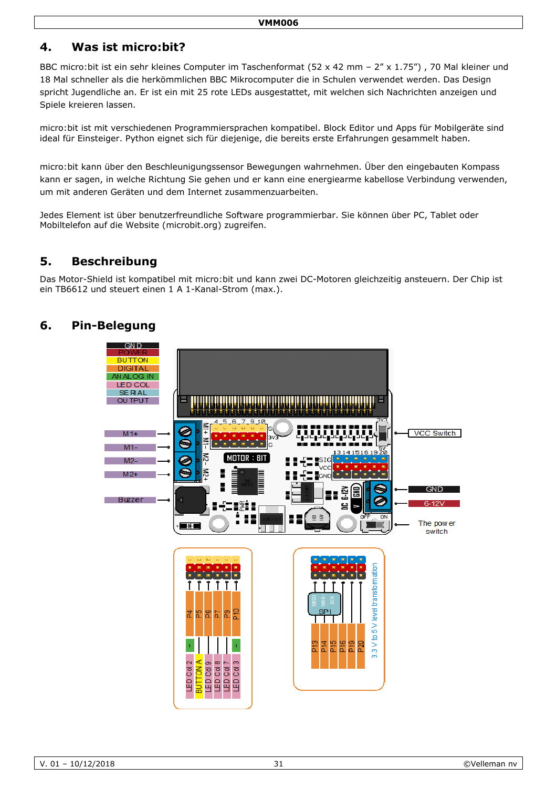# **4. Was ist micro:bit?**

BBC micro:bit ist ein sehr kleines Computer im Taschenformat (52 x 42 mm - 2" x 1.75"), 70 Mal kleiner und 18 Mal schneller als die herkömmlichen BBC Mikrocomputer die in Schulen verwendet werden. Das Design spricht Jugendliche an. Er ist ein mit 25 rote LEDs ausgestattet, mit welchen sich Nachrichten anzeigen und Spiele kreieren lassen.

micro:bit ist mit verschiedenen Programmiersprachen kompatibel. Block Editor und Apps für Mobilgeräte sind ideal für Einsteiger. Python eignet sich für diejenige, die bereits erste Erfahrungen gesammelt haben.

micro:bit kann über den Beschleunigungssensor Bewegungen wahrnehmen. Über den eingebauten Kompass kann er sagen, in welche Richtung Sie gehen und er kann eine energiearme kabellose Verbindung verwenden, um mit anderen Geräten und dem Internet zusammenzuarbeiten.

Jedes Element ist über benutzerfreundliche Software programmierbar. Sie können über PC, Tablet oder Mobiltelefon auf die Website (microbit.org) zugreifen.

# **5. Beschreibung**

Das Motor-Shield ist kompatibel mit micro:bit und kann zwei DC-Motoren gleichzeitig ansteuern. Der Chip ist ein TB6612 und steuert einen 1 A 1-Kanal-Strom (max.).

# **6. Pin-Belegung**

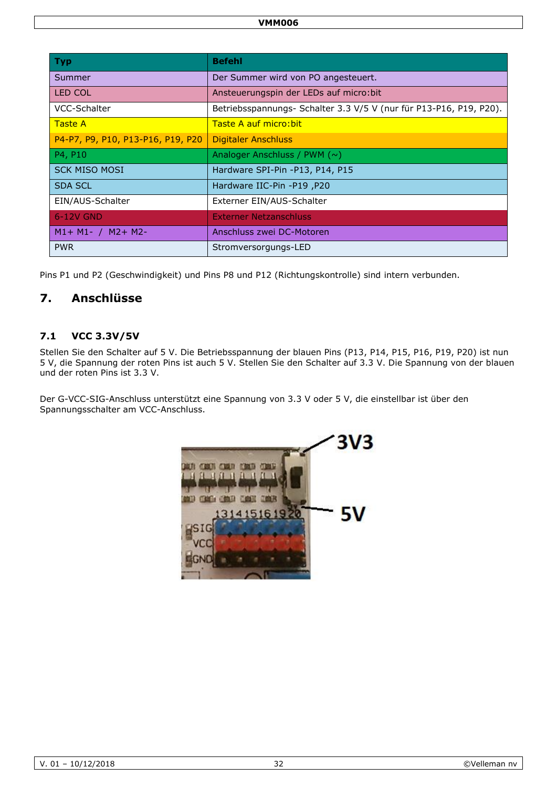| <b>Typ</b>                        | <b>Befehl</b>                                                      |
|-----------------------------------|--------------------------------------------------------------------|
| Summer                            | Der Summer wird von PO angesteuert.                                |
| LED COL                           | Ansteuerungspin der LEDs auf micro: bit                            |
| VCC-Schalter                      | Betriebsspannungs- Schalter 3.3 V/5 V (nur für P13-P16, P19, P20). |
| <b>Taste A</b>                    | Taste A auf micro: bit                                             |
| P4-P7, P9, P10, P13-P16, P19, P20 | Digitaler Anschluss                                                |
| P4, P10                           | Analoger Anschluss / PWM $(\sim)$                                  |
| <b>SCK MISO MOSI</b>              | Hardware SPI-Pin -P13, P14, P15                                    |
| <b>SDA SCL</b>                    | Hardware IIC-Pin -P19, P20                                         |
| EIN/AUS-Schalter                  | Externer EIN/AUS-Schalter                                          |
| 6-12V GND                         | <b>Externer Netzanschluss</b>                                      |
| $M1 + M1 - / M2 + M2$             | Anschluss zwei DC-Motoren                                          |
| <b>PWR</b>                        | Stromversorgungs-LED                                               |

Pins P1 und P2 (Geschwindigkeit) und Pins P8 und P12 (Richtungskontrolle) sind intern verbunden.

## **7. Anschlüsse**

### **7.1 VCC 3.3V/5V**

Stellen Sie den Schalter auf 5 V. Die Betriebsspannung der blauen Pins (P13, P14, P15, P16, P19, P20) ist nun 5 V, die Spannung der roten Pins ist auch 5 V. Stellen Sie den Schalter auf 3.3 V. Die Spannung von der blauen und der roten Pins ist 3.3 V.

Der G-VCC-SIG-Anschluss unterstützt eine Spannung von 3.3 V oder 5 V, die einstellbar ist über den Spannungsschalter am VCC-Anschluss.

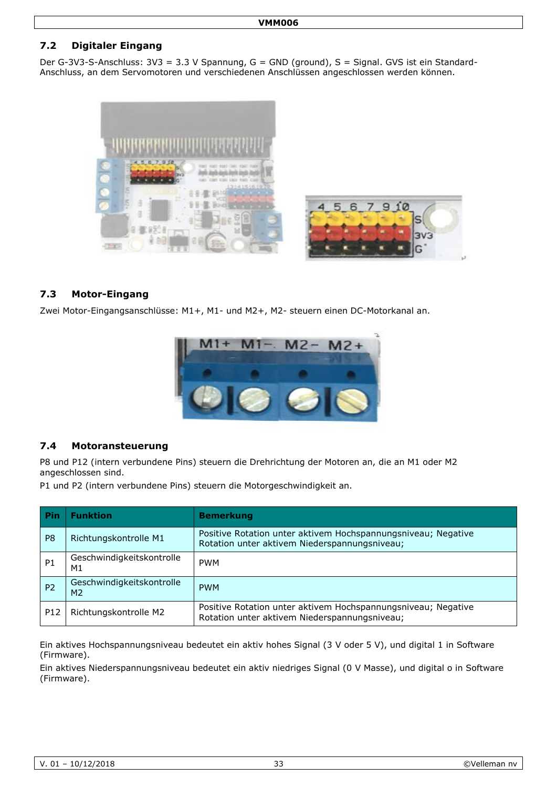## **7.2 Digitaler Eingang**

Der G-3V3-S-Anschluss: 3V3 = 3.3 V Spannung, G = GND (ground), S = Signal. GVS ist ein Standard-Anschluss, an dem Servomotoren und verschiedenen Anschlüssen angeschlossen werden können.



#### **7.3 Motor-Eingang**

Zwei Motor-Eingangsanschlüsse: M1+, M1- und M2+, M2- steuern einen DC-Motorkanal an.



#### **7.4 Motoransteuerung**

P8 und P12 (intern verbundene Pins) steuern die Drehrichtung der Motoren an, die an M1 oder M2 angeschlossen sind.

P1 und P2 (intern verbundene Pins) steuern die Motorgeschwindigkeit an.

| <b>Pin</b>      | <b>Funktion</b>                             | <b>Bemerkung</b>                                                                                               |
|-----------------|---------------------------------------------|----------------------------------------------------------------------------------------------------------------|
| P <sub>8</sub>  | Richtungskontrolle M1                       | Positive Rotation unter aktivem Hochspannungsniveau; Negative<br>Rotation unter aktivem Niederspannungsniveau; |
| <b>P1</b>       | Geschwindigkeitskontrolle<br>M1             | <b>PWM</b>                                                                                                     |
| P <sub>2</sub>  | Geschwindigkeitskontrolle<br>M <sub>2</sub> | <b>PWM</b>                                                                                                     |
| P <sub>12</sub> | Richtungskontrolle M2                       | Positive Rotation unter aktivem Hochspannungsniveau; Negative<br>Rotation unter aktivem Niederspannungsniveau; |

Ein aktives Hochspannungsniveau bedeutet ein aktiv hohes Signal (3 V oder 5 V), und digital 1 in Software (Firmware).

Ein aktives Niederspannungsniveau bedeutet ein aktiv niedriges Signal (0 V Masse), und digital o in Software (Firmware).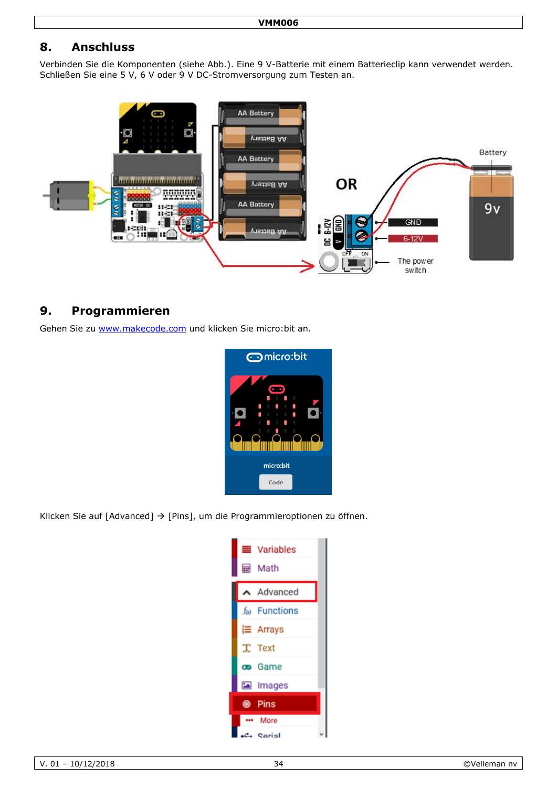# **8. Anschluss**

Verbinden Sie die Komponenten (siehe Abb.). Eine 9 V-Batterie mit einem Batterieclip kann verwendet werden. Schließen Sie eine 5 V, 6 V oder 9 V DC-Stromversorgung zum Testen an.



# **9. Programmieren**

Gehen Sie zu [www.makecode.com](http://www.makecode.com/) und klicken Sie micro:bit an.



Klicken Sie auf [Advanced]  $\rightarrow$  [Pins], um die Programmieroptionen zu öffnen.

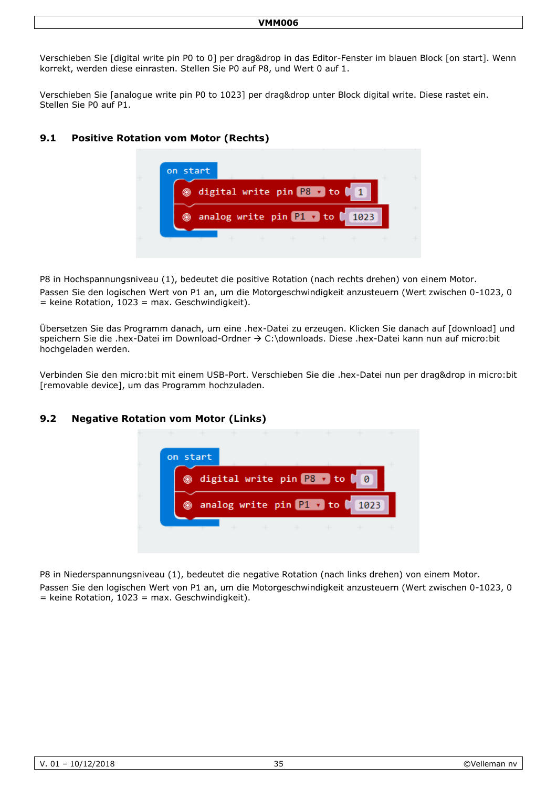#### **VMM006**

Verschieben Sie [digital write pin P0 to 0] per drag&drop in das Editor-Fenster im blauen Block [on start]. Wenn korrekt, werden diese einrasten. Stellen Sie P0 auf P8, und Wert 0 auf 1.

Verschieben Sie [analogue write pin P0 to 1023] per drag&drop unter Block digital write. Diese rastet ein. Stellen Sie P0 auf P1.

#### **9.1 Positive Rotation vom Motor (Rechts)**



P8 in Hochspannungsniveau (1), bedeutet die positive Rotation (nach rechts drehen) von einem Motor. Passen Sie den logischen Wert von P1 an, um die Motorgeschwindigkeit anzusteuern (Wert zwischen 0-1023, 0  $=$  keine Rotation, 1023 = max. Geschwindigkeit).

Übersetzen Sie das Programm danach, um eine .hex-Datei zu erzeugen. Klicken Sie danach auf [download] und speichern Sie die .hex-Datei im Download-Ordner  $\rightarrow$  C:\downloads. Diese .hex-Datei kann nun auf micro:bit hochgeladen werden.

Verbinden Sie den micro:bit mit einem USB-Port. Verschieben Sie die .hex-Datei nun per drag&drop in micro:bit [removable device], um das Programm hochzuladen.

#### **9.2 Negative Rotation vom Motor (Links)**



P8 in Niederspannungsniveau (1), bedeutet die negative Rotation (nach links drehen) von einem Motor. Passen Sie den logischen Wert von P1 an, um die Motorgeschwindigkeit anzusteuern (Wert zwischen 0-1023, 0  $=$  keine Rotation, 1023 = max. Geschwindigkeit).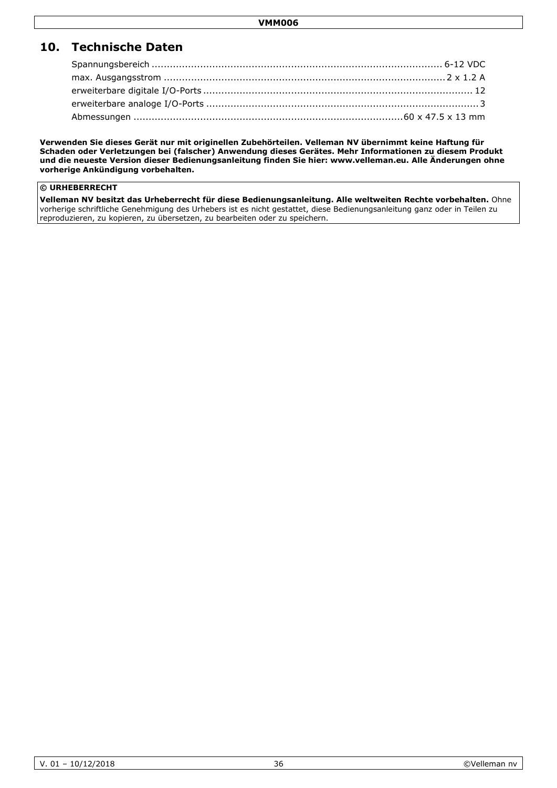# **10. Technische Daten**

**Verwenden Sie dieses Gerät nur mit originellen Zubehörteilen. Velleman NV übernimmt keine Haftung für Schaden oder Verletzungen bei (falscher) Anwendung dieses Gerätes. Mehr Informationen zu diesem Produkt und die neueste Version dieser Bedienungsanleitung finden Sie hier: www.velleman.eu. Alle Änderungen ohne vorherige Ankündigung vorbehalten.**

#### **© URHEBERRECHT**

**Velleman NV besitzt das Urheberrecht für diese Bedienungsanleitung. Alle weltweiten Rechte vorbehalten.** Ohne vorherige schriftliche Genehmigung des Urhebers ist es nicht gestattet, diese Bedienungsanleitung ganz oder in Teilen zu reproduzieren, zu kopieren, zu übersetzen, zu bearbeiten oder zu speichern.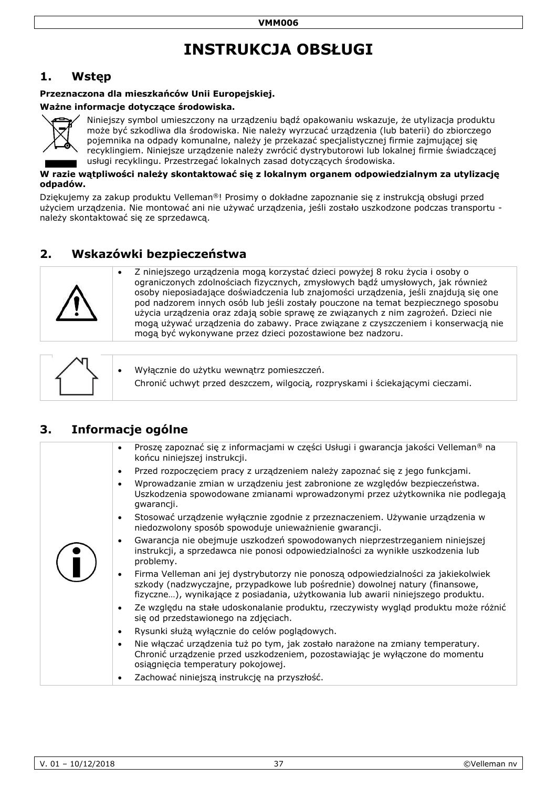# **INSTRUKCJA OBSŁUGI**

# <span id="page-36-0"></span>**1. Wstęp**

#### **Przeznaczona dla mieszkańców Unii Europejskiej.**

#### **Ważne informacje dotyczące środowiska.**



Niniejszy symbol umieszczony na urządzeniu bądź opakowaniu wskazuje, że utylizacja produktu może być szkodliwa dla środowiska. Nie należy wyrzucać urządzenia (lub baterii) do zbiorczego pojemnika na odpady komunalne, należy je przekazać specjalistycznej firmie zajmującej się recyklingiem. Niniejsze urządzenie należy zwrócić dystrybutorowi lub lokalnej firmie świadczącej usługi recyklingu. Przestrzegać lokalnych zasad dotyczących środowiska.

#### **W razie wątpliwości należy skontaktować się z lokalnym organem odpowiedzialnym za utylizację odpadów.**

Dziękujemy za zakup produktu Velleman®! Prosimy o dokładne zapoznanie się z instrukcją obsługi przed użyciem urządzenia. Nie montować ani nie używać urządzenia, jeśli zostało uszkodzone podczas transportu należy skontaktować się ze sprzedawcą.

# **2. Wskazówki bezpieczeństwa**



 Z niniejszego urządzenia mogą korzystać dzieci powyżej 8 roku życia i osoby o ograniczonych zdolnościach fizycznych, zmysłowych bądź umysłowych, jak również osoby nieposiadające doświadczenia lub znajomości urządzenia, jeśli znajdują się one pod nadzorem innych osób lub jeśli zostały pouczone na temat bezpiecznego sposobu użycia urządzenia oraz zdają sobie sprawę ze związanych z nim zagrożeń. Dzieci nie mogą używać urządzenia do zabawy. Prace związane z czyszczeniem i konserwacją nie mogą być wykonywane przez dzieci pozostawione bez nadzoru.

|  | Wyłącznie do użytku wewnątrz pomieszczeń.<br>Chronić uchwyt przed deszczem, wilgocią, rozpryskami i ściekającymi cieczami. |
|--|----------------------------------------------------------------------------------------------------------------------------|
|--|----------------------------------------------------------------------------------------------------------------------------|

# **3. Informacje ogólne**

| Proszę zapoznać się z informacjami w części Usługi i gwarancja jakości Velleman <sup>®</sup> na<br>$\bullet$<br>końcu niniejszej instrukcji.                                                                                                                        |
|---------------------------------------------------------------------------------------------------------------------------------------------------------------------------------------------------------------------------------------------------------------------|
| Przed rozpoczęciem pracy z urządzeniem należy zapoznać się z jego funkcjami.<br>$\bullet$                                                                                                                                                                           |
| Wprowadzanie zmian w urządzeniu jest zabronione ze względów bezpieczeństwa.<br>$\bullet$<br>Uszkodzenia spowodowane zmianami wprowadzonymi przez użytkownika nie podlegają<br>gwarancji.                                                                            |
| Stosować urządzenie wyłącznie zgodnie z przeznaczeniem. Używanie urządzenia w<br>$\bullet$<br>niedozwolony sposób spowoduje unieważnienie gwarancji.                                                                                                                |
| Gwarancja nie obejmuje uszkodzeń spowodowanych nieprzestrzeganiem niniejszej<br>$\bullet$<br>instrukcji, a sprzedawca nie ponosi odpowiedzialności za wynikłe uszkodzenia lub<br>problemy.                                                                          |
| Firma Velleman ani jej dystrybutorzy nie ponoszą odpowiedzialności za jakiekolwiek<br>$\bullet$<br>szkody (nadzwyczajne, przypadkowe lub pośrednie) dowolnej natury (finansowe,<br>fizyczne), wynikające z posiadania, użytkowania lub awarii niniejszego produktu. |
| Ze względu na stałe udoskonalanie produktu, rzeczywisty wygląd produktu może różnić<br>$\bullet$<br>się od przedstawionego na zdjęciach.                                                                                                                            |
| Rysunki służą wyłącznie do celów poglądowych.<br>$\bullet$                                                                                                                                                                                                          |
| Nie włączać urządzenia tuż po tym, jak zostało narażone na zmiany temperatury.<br>$\bullet$<br>Chronić urządzenie przed uszkodzeniem, pozostawiając je wyłączone do momentu<br>osiągnięcia temperatury pokojowej.                                                   |
| Zachować niniejszą instrukcję na przyszłość.<br>٠                                                                                                                                                                                                                   |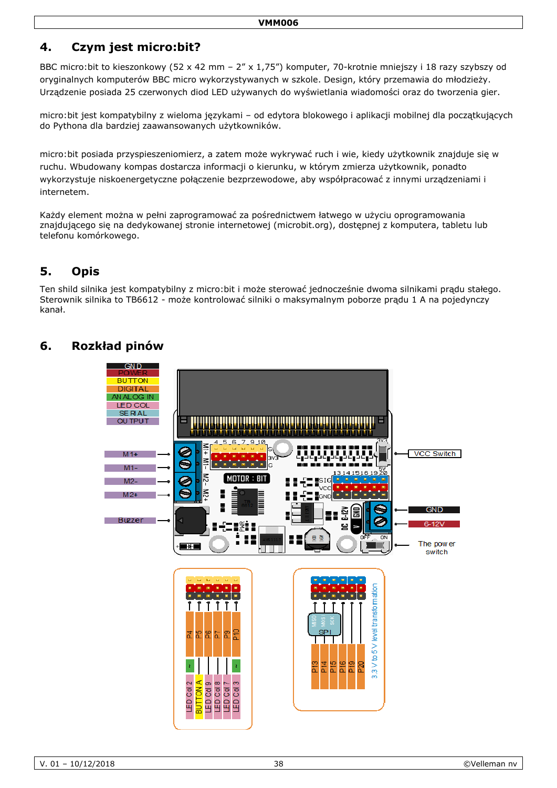# **4. Czym jest micro:bit?**

BBC micro:bit to kieszonkowy (52 x 42 mm – 2" x 1,75") komputer, 70-krotnie mniejszy i 18 razy szybszy od oryginalnych komputerów BBC micro wykorzystywanych w szkole. Design, który przemawia do młodzieży. Urządzenie posiada 25 czerwonych diod LED używanych do wyświetlania wiadomości oraz do tworzenia gier.

micro:bit jest kompatybilny z wieloma językami – od edytora blokowego i aplikacji mobilnej dla początkujących do Pythona dla bardziej zaawansowanych użytkowników.

micro:bit posiada przyspieszeniomierz, a zatem może wykrywać ruch i wie, kiedy użytkownik znajduje się w ruchu. Wbudowany kompas dostarcza informacji o kierunku, w którym zmierza użytkownik, ponadto wykorzystuje niskoenergetyczne połączenie bezprzewodowe, aby współpracować z innymi urządzeniami i internetem.

Każdy element można w pełni zaprogramować za pośrednictwem łatwego w użyciu oprogramowania znajdującego się na dedykowanej stronie internetowej (microbit.org), dostępnej z komputera, tabletu lub telefonu komórkowego.

# **5. Opis**

Ten shild silnika jest kompatybilny z micro:bit i może sterować jednocześnie dwoma silnikami prądu stałego. Sterownik silnika to TB6612 - może kontrolować silniki o maksymalnym poborze prądu 1 A na pojedynczy kanał.

# **6. Rozkład pinów**

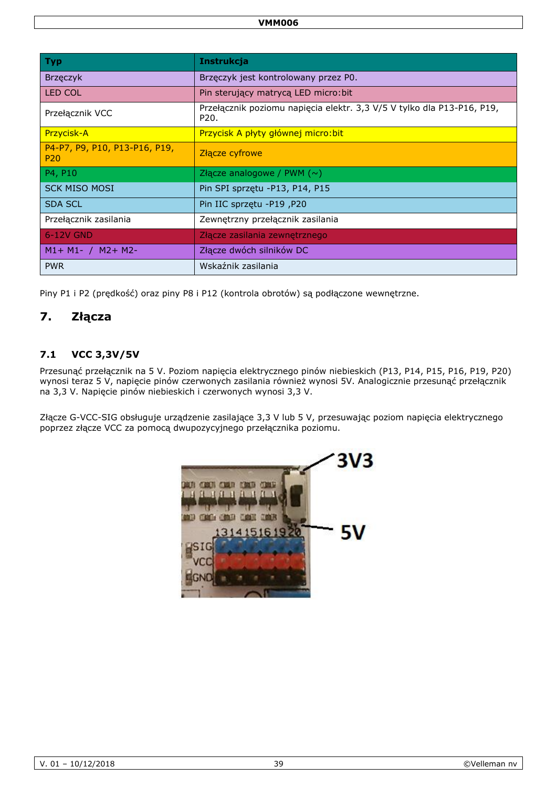| <b>Typ</b>                                       | <b>Instrukcja</b>                                                              |
|--------------------------------------------------|--------------------------------------------------------------------------------|
| Brzęczyk                                         | Brzęczyk jest kontrolowany przez P0.                                           |
| <b>LED COL</b>                                   | Pin sterujący matrycą LED micro: bit                                           |
| Przełącznik VCC                                  | Przełącznik poziomu napięcia elektr. 3,3 V/5 V tylko dla P13-P16, P19,<br>P20. |
| Przycisk-A                                       | Przycisk A płyty głównej micro: bit                                            |
| P4-P7, P9, P10, P13-P16, P19,<br>P <sub>20</sub> | Złącze cyfrowe                                                                 |
| P4, P10                                          | Złącze analogowe / PWM $(\sim)$                                                |
| <b>SCK MISO MOSI</b>                             | Pin SPI sprzętu -P13, P14, P15                                                 |
| <b>SDA SCL</b>                                   | Pin IIC sprzętu -P19, P20                                                      |
| Przełącznik zasilania                            | Zewnętrzny przełącznik zasilania                                               |
| 6-12V GND                                        | Złącze zasilania zewnętrznego                                                  |
| $M1 + M1 - / M2 + M2$                            | Złącze dwóch silników DC                                                       |
| <b>PWR</b>                                       | Wskaźnik zasilania                                                             |

Piny P1 i P2 (prędkość) oraz piny P8 i P12 (kontrola obrotów) są podłączone wewnętrzne.

## **7. Złącza**

### **7.1 VCC 3,3V/5V**

Przesunąć przełącznik na 5 V. Poziom napięcia elektrycznego pinów niebieskich (P13, P14, P15, P16, P19, P20) wynosi teraz 5 V, napięcie pinów czerwonych zasilania również wynosi 5V. Analogicznie przesunąć przełącznik na 3,3 V. Napięcie pinów niebieskich i czerwonych wynosi 3,3 V.

Złącze G-VCC-SIG obsługuje urządzenie zasilające 3,3 V lub 5 V, przesuwając poziom napięcia elektrycznego poprzez złącze VCC za pomocą dwupozycyjnego przełącznika poziomu.

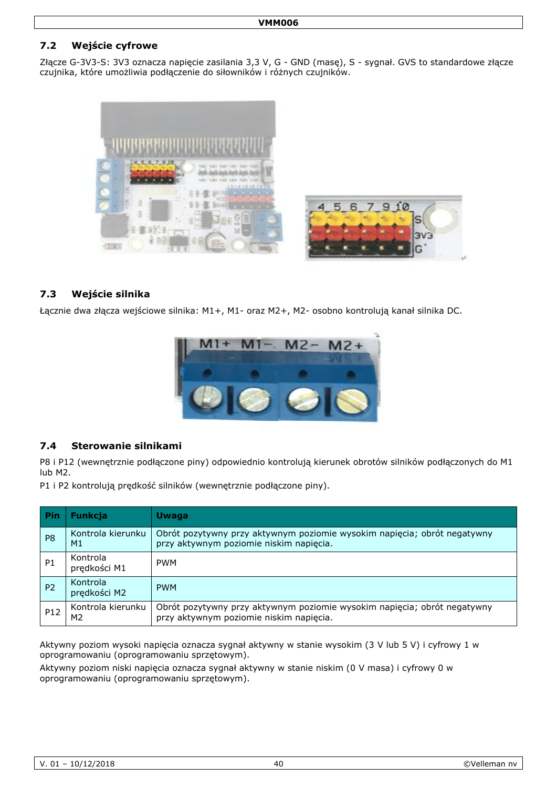## **7.2 Wejście cyfrowe**

Złącze G-3V3-S: 3V3 oznacza napięcie zasilania 3,3 V, G - GND (masę), S - sygnał. GVS to standardowe złącze czujnika, które umożliwia podłączenie do siłowników i różnych czujników.



#### **7.3 Wejście silnika**

Łącznie dwa złącza wejściowe silnika: M1+, M1- oraz M2+, M2- osobno kontrolują kanał silnika DC.



#### **7.4 Sterowanie silnikami**

P8 i P12 (wewnętrznie podłączone piny) odpowiednio kontrolują kierunek obrotów silników podłączonych do M1 lub M2.

P1 i P2 kontrolują prędkość silników (wewnętrznie podłączone piny).

| Pin             | <b>Funkcja</b>                      | <b>Uwaga</b>                                                                                                        |
|-----------------|-------------------------------------|---------------------------------------------------------------------------------------------------------------------|
| P <sub>8</sub>  | Kontrola kierunku<br>M1             | Obrót pozytywny przy aktywnym poziomie wysokim napięcia; obrót negatywny<br>przy aktywnym poziomie niskim napięcia. |
| P <sub>1</sub>  | Kontrola<br>prędkości M1            | <b>PWM</b>                                                                                                          |
| P <sub>2</sub>  | Kontrola<br>prędkości M2            | <b>PWM</b>                                                                                                          |
| P <sub>12</sub> | Kontrola kierunku<br>M <sub>2</sub> | Obrót pozytywny przy aktywnym poziomie wysokim napięcia; obrót negatywny<br>przy aktywnym poziomie niskim napięcia. |

Aktywny poziom wysoki napięcia oznacza sygnał aktywny w stanie wysokim (3 V lub 5 V) i cyfrowy 1 w oprogramowaniu (oprogramowaniu sprzętowym).

Aktywny poziom niski napięcia oznacza sygnał aktywny w stanie niskim (0 V masa) i cyfrowy 0 w oprogramowaniu (oprogramowaniu sprzętowym).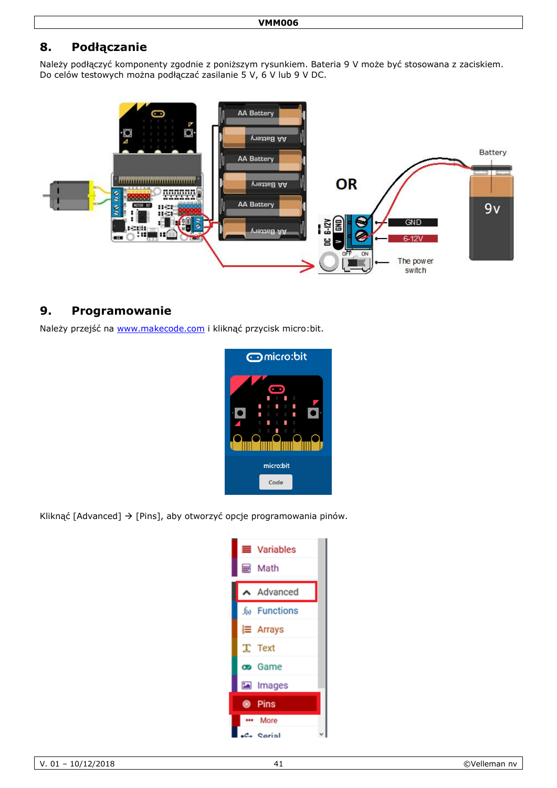# **8. Podłączanie**

Należy podłączyć komponenty zgodnie z poniższym rysunkiem. Bateria 9 V może być stosowana z zaciskiem. Do celów testowych można podłączać zasilanie 5 V, 6 V lub 9 V DC.



## **9. Programowanie**

Należy przejść na [www.makecode.com](http://www.makecode.com/) i kliknąć przycisk micro:bit.



Kliknąć [Advanced]  $\rightarrow$  [Pins], aby otworzyć opcje programowania pinów.

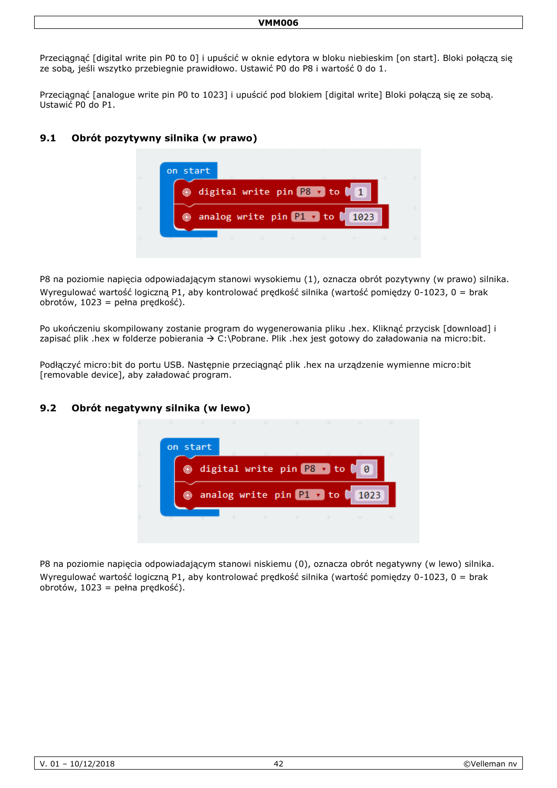#### **VMM006**

Przeciągnąć [digital write pin P0 to 0] i upuścić w oknie edytora w bloku niebieskim [on start]. Bloki połączą się ze sobą, jeśli wszytko przebiegnie prawidłowo. Ustawić P0 do P8 i wartość 0 do 1.

Przeciągnąć [analogue write pin P0 to 1023] i upuścić pod blokiem [digital write] Bloki połączą się ze sobą. Ustawić P0 do P1.

#### **9.1 Obrót pozytywny silnika (w prawo)**



P8 na poziomie napięcia odpowiadającym stanowi wysokiemu (1), oznacza obrót pozytywny (w prawo) silnika. Wyregulować wartość logiczną P1, aby kontrolować prędkość silnika (wartość pomiędzy 0-1023, 0 = brak obrotów, 1023 = pełna prędkość).

Po ukończeniu skompilowany zostanie program do wygenerowania pliku .hex. Kliknąć przycisk [download] i zapisać plik .hex w folderze pobierania  $\rightarrow$  C:\Pobrane. Plik .hex jest gotowy do załadowania na micro:bit.

Podłączyć micro:bit do portu USB. Następnie przeciągnąć plik .hex na urządzenie wymienne micro:bit [removable device], aby załadować program.

#### **9.2 Obrót negatywny silnika (w lewo)**



P8 na poziomie napięcia odpowiadającym stanowi niskiemu (0), oznacza obrót negatywny (w lewo) silnika. Wyregulować wartość logiczną P1, aby kontrolować prędkość silnika (wartość pomiędzy 0-1023, 0 = brak obrotów, 1023 = pełna prędkość).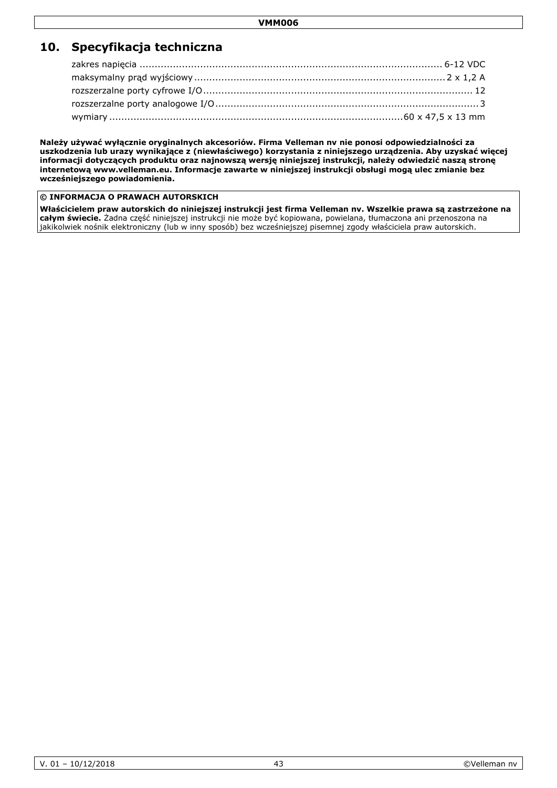# **10. Specyfikacja techniczna**

**Należy używać wyłącznie oryginalnych akcesoriów. Firma Velleman nv nie ponosi odpowiedzialności za uszkodzenia lub urazy wynikające z (niewłaściwego) korzystania z niniejszego urządzenia. Aby uzyskać więcej informacji dotyczących produktu oraz najnowszą wersję niniejszej instrukcji, należy odwiedzić naszą stronę internetową www.velleman.eu. Informacje zawarte w niniejszej instrukcji obsługi mogą ulec zmianie bez wcześniejszego powiadomienia.**

#### **© INFORMACJA O PRAWACH AUTORSKICH**

**Właścicielem praw autorskich do niniejszej instrukcji jest firma Velleman nv. Wszelkie prawa są zastrzeżone na całym świecie.** Żadna część niniejszej instrukcji nie może być kopiowana, powielana, tłumaczona ani przenoszona na jakikolwiek nośnik elektroniczny (lub w inny sposób) bez wcześniejszej pisemnej zgody właściciela praw autorskich.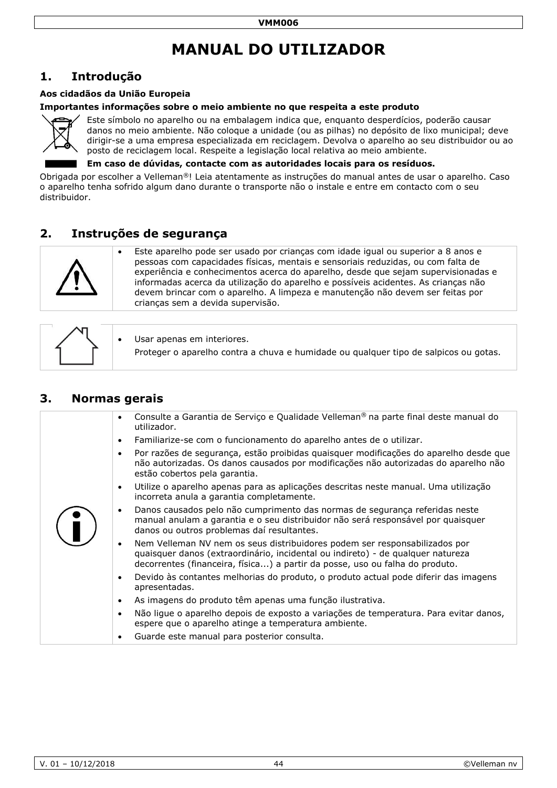# **MANUAL DO UTILIZADOR**

# <span id="page-43-0"></span>**1. Introdução**

#### **Aos cidadãos da União Europeia**

#### **Importantes informações sobre o meio ambiente no que respeita a este produto**



Este símbolo no aparelho ou na embalagem indica que, enquanto desperdícios, poderão causar danos no meio ambiente. Não coloque a unidade (ou as pilhas) no depósito de lixo municipal; deve dirigir-se a uma empresa especializada em reciclagem. Devolva o aparelho ao seu distribuidor ou ao posto de reciclagem local. Respeite a legislação local relativa ao meio ambiente.

**Em caso de dúvidas, contacte com as autoridades locais para os resíduos.**

Obrigada por escolher a Velleman®! Leia atentamente as instruções do manual antes de usar o aparelho. Caso o aparelho tenha sofrido algum dano durante o transporte não o instale e entre em contacto com o seu distribuidor.

## **2. Instruções de segurança**



 Este aparelho pode ser usado por crianças com idade igual ou superior a 8 anos e pessoas com capacidades físicas, mentais e sensoriais reduzidas, ou com falta de experiência e conhecimentos acerca do aparelho, desde que sejam supervisionadas e informadas acerca da utilização do aparelho e possíveis acidentes. As crianças não devem brincar com o aparelho. A limpeza e manutenção não devem ser feitas por crianças sem a devida supervisão.

|  |  | Usar apenas em interiores.<br>Proteger o aparelho contra a chuva e humidade ou qualquer tipo de salpicos ou gotas. |
|--|--|--------------------------------------------------------------------------------------------------------------------|
|--|--|--------------------------------------------------------------------------------------------------------------------|

## **3. Normas gerais**

| Consulte a Garantia de Serviço e Qualidade Velleman <sup>®</sup> na parte final deste manual do<br>$\bullet$<br>utilizador.                                                                                                                                |
|------------------------------------------------------------------------------------------------------------------------------------------------------------------------------------------------------------------------------------------------------------|
| Familiarize-se com o funcionamento do aparelho antes de o utilizar.<br>$\bullet$                                                                                                                                                                           |
| Por razões de segurança, estão proibidas quaisquer modificações do aparelho desde que<br>$\bullet$<br>não autorizadas. Os danos causados por modificações não autorizadas do aparelho não<br>estão cobertos pela garantia.                                 |
| Utilize o aparelho apenas para as aplicações descritas neste manual. Uma utilização<br>$\bullet$<br>incorreta anula a garantia completamente.                                                                                                              |
| Danos causados pelo não cumprimento das normas de segurança referidas neste<br>$\bullet$<br>manual anulam a garantia e o seu distribuidor não será responsável por quaisquer<br>danos ou outros problemas daí resultantes.                                 |
| Nem Velleman NV nem os seus distribuidores podem ser responsabilizados por<br>$\bullet$<br>quaisquer danos (extraordinário, incidental ou indireto) - de qualquer natureza<br>decorrentes (financeira, física) a partir da posse, uso ou falha do produto. |
| Devido às contantes melhorias do produto, o produto actual pode diferir das imagens<br>$\bullet$<br>apresentadas.                                                                                                                                          |
| As imagens do produto têm apenas uma função ilustrativa.<br>$\bullet$                                                                                                                                                                                      |
| Não ligue o aparelho depois de exposto a variações de temperatura. Para evitar danos,<br>$\bullet$<br>espere que o aparelho atinge a temperatura ambiente.                                                                                                 |
| Guarde este manual para posterior consulta.<br>$\bullet$                                                                                                                                                                                                   |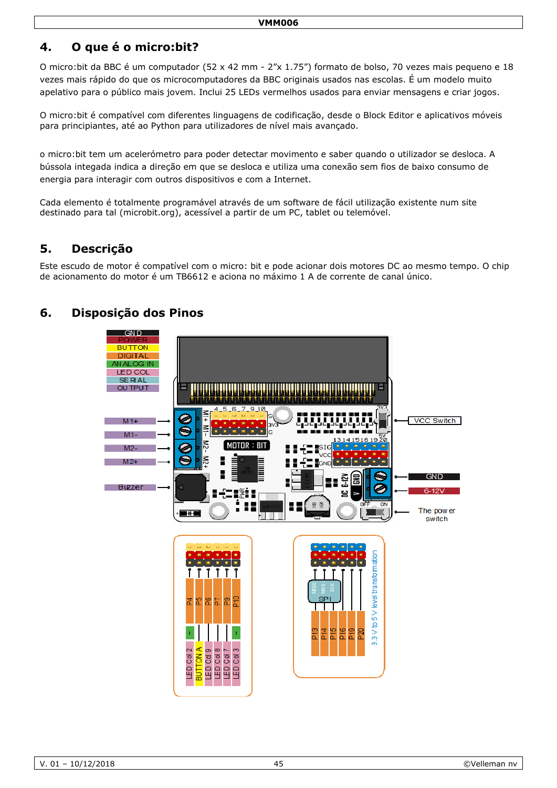# **4. O que é o micro:bit?**

O micro:bit da BBC é um computador (52 x 42 mm - 2"x 1.75") formato de bolso, 70 vezes mais pequeno e 18 vezes mais rápido do que os microcomputadores da BBC originais usados nas escolas. É um modelo muito apelativo para o público mais jovem. Inclui 25 LEDs vermelhos usados para enviar mensagens e criar jogos.

O micro:bit é compatível com diferentes linguagens de codificação, desde o Block Editor e aplicativos móveis para principiantes, até ao Python para utilizadores de nível mais avançado.

o micro:bit tem um acelerómetro para poder detectar movimento e saber quando o utilizador se desloca. A bússola integada indica a direção em que se desloca e utiliza uma conexão sem fios de baixo consumo de energia para interagir com outros dispositivos e com a Internet.

Cada elemento é totalmente programável através de um software de fácil utilização existente num site destinado para tal (microbit.org), acessível a partir de um PC, tablet ou telemóvel.

# **5. Descrição**

Este escudo de motor é compatível com o micro: bit e pode acionar dois motores DC ao mesmo tempo. O chip de acionamento do motor é um TB6612 e aciona no máximo 1 A de corrente de canal único.

# **6. Disposição dos Pinos**

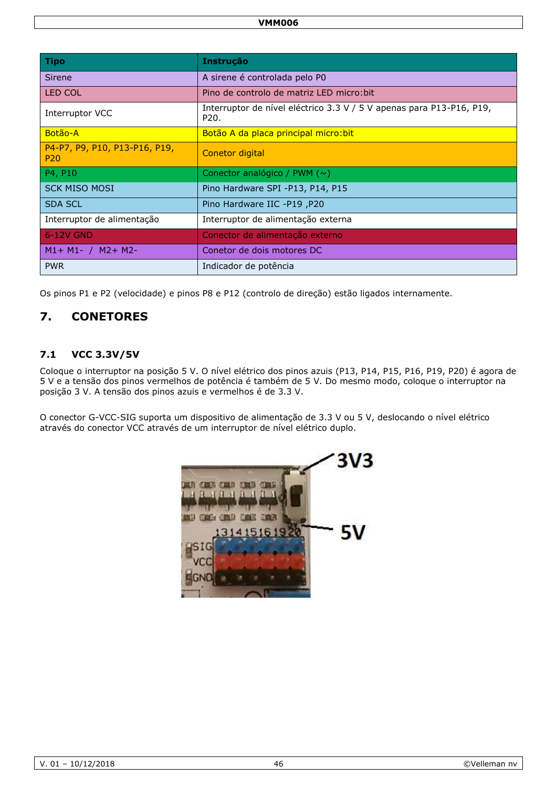| <b>Tipo</b>                                      | <b>Instrução</b>                                                             |
|--------------------------------------------------|------------------------------------------------------------------------------|
| Sirene                                           | A sirene é controlada pelo P0                                                |
| <b>LED COL</b>                                   | Pino de controlo de matriz LED micro: bit                                    |
| Interruptor VCC                                  | Interruptor de nível eléctrico 3.3 V / 5 V apenas para P13-P16, P19,<br>P20. |
| Botão-A                                          | Botão A da placa principal micro: bit                                        |
| P4-P7, P9, P10, P13-P16, P19,<br>P <sub>20</sub> | Conetor digital                                                              |
| P4, P10                                          | Conector analógico / PWM $(\sim)$                                            |
| <b>SCK MISO MOSI</b>                             | Pino Hardware SPI -P13, P14, P15                                             |
| <b>SDA SCL</b>                                   | Pino Hardware IIC -P19, P20                                                  |
| Interruptor de alimentação                       | Interruptor de alimentação externa                                           |
| 6-12V GND                                        | Conector de alimentação externo                                              |
| $M1 + M1 - / M2 + M2$                            | Conetor de dois motores DC                                                   |
| <b>PWR</b>                                       | Indicador de potência                                                        |

Os pinos P1 e P2 (velocidade) e pinos P8 e P12 (controlo de direção) estão ligados internamente.

# **7. CONETORES**

### **7.1 VCC 3.3V/5V**

Coloque o interruptor na posição 5 V. O nível elétrico dos pinos azuis (P13, P14, P15, P16, P19, P20) é agora de 5 V e a tensão dos pinos vermelhos de potência é também de 5 V. Do mesmo modo, coloque o interruptor na posição 3 V. A tensão dos pinos azuis e vermelhos é de 3.3 V.

O conector G-VCC-SIG suporta um dispositivo de alimentação de 3.3 V ou 5 V, deslocando o nível elétrico através do conector VCC através de um interruptor de nível elétrico duplo.

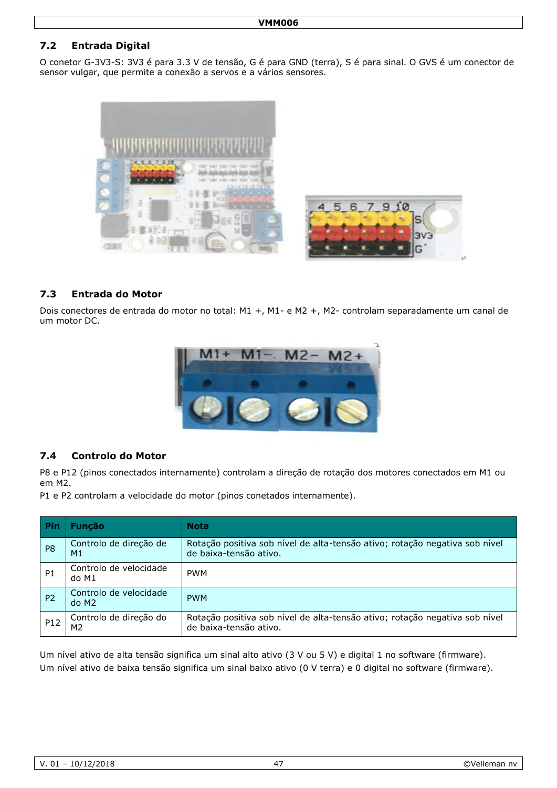## **7.2 Entrada Digital**

O conetor G-3V3-S: 3V3 é para 3.3 V de tensão, G é para GND (terra), S é para sinal. O GVS é um conector de sensor vulgar, que permite a conexão a servos e a vários sensores.



#### **7.3 Entrada do Motor**

Dois conectores de entrada do motor no total: M1 +, M1- e M2 +, M2- controlam separadamente um canal de um motor DC.



#### **7.4 Controlo do Motor**

P8 e P12 (pinos conectados internamente) controlam a direção de rotação dos motores conectados em M1 ou em M2.

P1 e P2 controlam a velocidade do motor (pinos conetados internamente).

| <b>Pin</b>     | <b>Funcão</b>                   | <b>Nota</b>                                                                                           |
|----------------|---------------------------------|-------------------------------------------------------------------------------------------------------|
| P <sub>8</sub> | Controlo de direção de<br>M1    | Rotação positiva sob nível de alta-tensão ativo; rotação negativa sob nível<br>de baixa-tensão ativo. |
| P <sub>1</sub> | Controlo de velocidade<br>do M1 | <b>PWM</b>                                                                                            |
| P <sub>2</sub> | Controlo de velocidade<br>do M2 | <b>PWM</b>                                                                                            |
| P12            | Controlo de direção do<br>M2    | Rotação positiva sob nível de alta-tensão ativo; rotação negativa sob nível<br>de baixa-tensão ativo. |

Um nível ativo de alta tensão significa um sinal alto ativo (3 V ou 5 V) e digital 1 no software (firmware). Um nível ativo de baixa tensão significa um sinal baixo ativo (0 V terra) e 0 digital no software (firmware).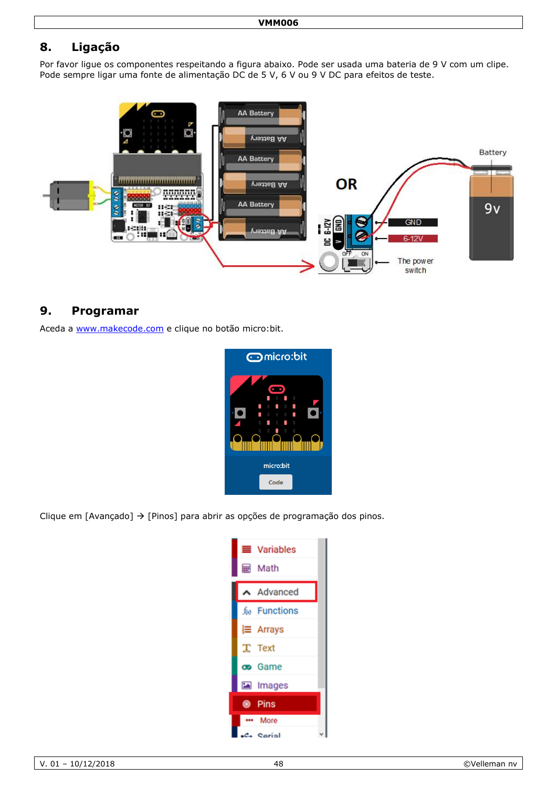# **8. Ligação**

Por favor ligue os componentes respeitando a figura abaixo. Pode ser usada uma bateria de 9 V com um clipe. Pode sempre ligar uma fonte de alimentação DC de 5 V, 6 V ou 9 V DC para efeitos de teste.



## **9. Programar**

Aceda a [www.makecode.com](http://www.makecode.com/) e clique no botão micro:bit.



Clique em [Avançado]  $\rightarrow$  [Pinos] para abrir as opções de programação dos pinos.

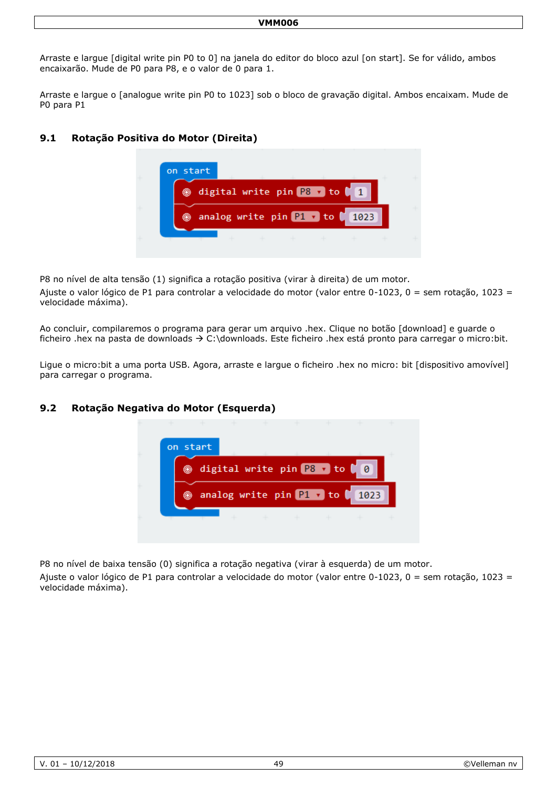Arraste e largue [digital write pin P0 to 0] na janela do editor do bloco azul [on start]. Se for válido, ambos encaixarão. Mude de P0 para P8, e o valor de 0 para 1.

Arraste e largue o [analogue write pin P0 to 1023] sob o bloco de gravação digital. Ambos encaixam. Mude de P0 para P1

### **9.1 Rotação Positiva do Motor (Direita)**



P8 no nível de alta tensão (1) significa a rotação positiva (virar à direita) de um motor.

Ajuste o valor lógico de P1 para controlar a velocidade do motor (valor entre 0-1023, 0 = sem rotação, 1023 = velocidade máxima).

Ao concluir, compilaremos o programa para gerar um arquivo .hex. Clique no botão [download] e guarde o ficheiro .hex na pasta de downloads  $\rightarrow$  C:\downloads. Este ficheiro .hex está pronto para carregar o micro:bit.

Ligue o micro:bit a uma porta USB. Agora, arraste e largue o ficheiro .hex no micro: bit [dispositivo amovível] para carregar o programa.

#### **9.2 Rotação Negativa do Motor (Esquerda)**



P8 no nível de baixa tensão (0) significa a rotação negativa (virar à esquerda) de um motor.

Ajuste o valor lógico de P1 para controlar a velocidade do motor (valor entre 0-1023, 0 = sem rotação, 1023 = velocidade máxima).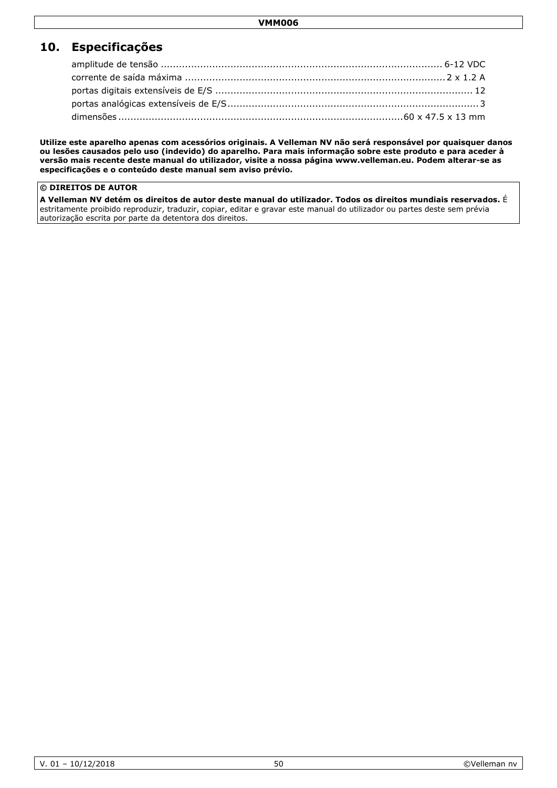# **10. Especificações**

**Utilize este aparelho apenas com acessórios originais. A Velleman NV não será responsável por quaisquer danos ou lesões causados pelo uso (indevido) do aparelho. Para mais informação sobre este produto e para aceder à versão mais recente deste manual do utilizador, visite a nossa página www.velleman.eu. Podem alterar-se as especificações e o conteúdo deste manual sem aviso prévio.**

#### **© DIREITOS DE AUTOR**

**A Velleman NV detém os direitos de autor deste manual do utilizador. Todos os direitos mundiais reservados.** É estritamente proibido reproduzir, traduzir, copiar, editar e gravar este manual do utilizador ou partes deste sem prévia autorização escrita por parte da detentora dos direitos.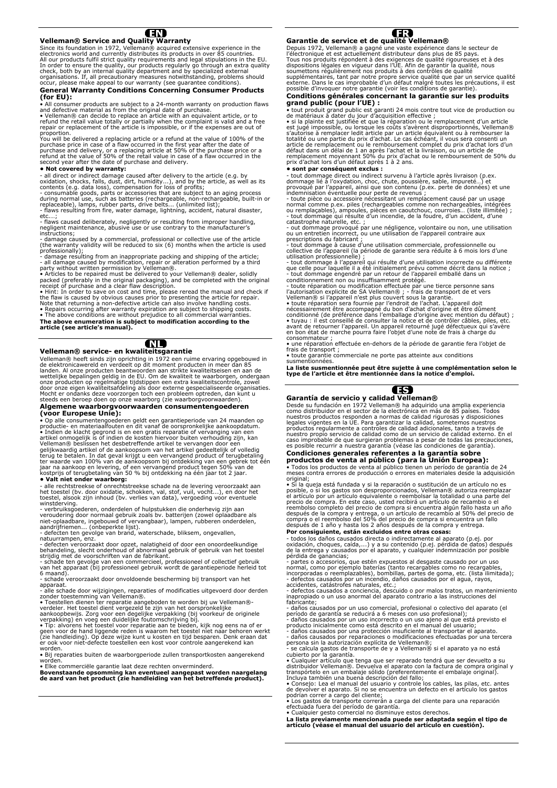

**Velleman® Service and Quality Warranty**  Since its foundation in 1972, Velleman® acquired extensive experience in the electronics world and currently distributes its products in over 85 countries.<br>All our products fulfil strict quality requirements and legal stip

#### **General Warranty Conditions Concerning Consumer Products (for EU):**

• All consumer products are subject to a 24-month warranty on production flaws and defective material as from the original date of purchase.<br>• Velleman® can decide to replace an article with an equivalent article, or to<br>refund the retail value totally or partially when the complaint is valid and a f

proportion.<br>You will be delivered a replacing article or a refund at the value of 100% of the<br>purchase price in case of a flaw occurred in the first year after the date of<br>purchase and delivery, or a replacing article at 5 second year after the date of purchase and delivery.

• Not covered by warranty:<br>
- all direct or indirect damage caused after delivery to the article (e.g. by<br>
- all direct or indirect damage caused after delivery to the article, as well as its<br>
contents (e.g. data loss), co

etc.…; - flaws caused deliberately, negligently or resulting from improper handling, negligent maintenance, abusive use or use contrary to the manufacturer's instructions;

- damage caused by a commercial, professional or collective use of the article<br>(the warranty validity will be reduced to six (6) months when the article is used<br>professionally);<br>- damage resulting from an inappropriate pac

#### Æ

#### **Velleman® service- en kwaliteitsgarantie**

Velleman® heeft sinds zijn oprichting in 1972 een ruime ervaring opgebouwd in<br>de elektronicawereld en verdeelt op dit moment producten in meer dan 85<br>landen. Al onze producten beantwoorden aan strikte kwaliteitseisen en aa

Algemene waarborgvoorwaarden consumentengoederen<br>
(Voor Europese Unie):<br>
(Voor Europese Unie):<br>
(Voor Europese Unie):<br>
(Cor Europese Unie) and the consponisties ankoopdatum.<br>
Indian de klacht gegrond is en en gratis repara

winstderving.<br>- verbruiksgoederen, onderdelen of hulpstukken die onderhevig zijn aan<br>- veroudering door normaal gebruik zoals bv. batterijen (zowel oplaadbare als<br>niet-oplaadbare, ingebouwd of vervangbaar), lampen, rubbere

- defecten veroorzaakt door opzet, nalatigheid of door een onoordeelkundige<br>behandeling, slecht onderhoud of abnormaal gebruik of gebruik van het toestel<br>strijdig met de voorschriften van de fabrikant.<br>- schade ten gevolge

6 maand).

- schade veroorzaakt door onvoldoende bescherming bij transport van het

apparaat.<br>- alle schade door wijzigingen, reparaties of modificaties uitgevoerd door derden<br>zonder toestemming van Velleman®.<br>• Toestellen dienen ter reparatie aangeboden te worden bij uw Velleman®-

verdeler. Het toestel dient vergezeld te zijn van het oorspronkelijke<br>aankoopbewijs. Zorg voor een degelijke verpakking (bij voorkeur de originele<br>verpakking) en voeg een duidelijke foutomschrijving bij.

• Típ: alvorens het toestel voor reparatie aan te bieden, kijk nog eens na of er<br>geen voor de hand liggende reden is waarom het toestel niet naar behoren werkt<br>(zie handleiding). Op deze wijze kunt u kosten en tijd bespare

worden. • Bij reparaties buiten de waarborgperiode zullen transportkosten aangerekend

worden. • Elke commerciële garantie laat deze rechten onverminderd.

**Bovenstaande opsomming kan eventueel aangepast worden naargelang de aard van het product (zie handleiding van het betreffende product).** 

#### Œ **Garantie de service et de qualité Velleman®**

Depuis 1972, Velleman® a gagné une vaste expérience dans le secteur de<br>l'électronique et est actuellement distributeur dans plus de 85 pays.<br>Tous nos produits répondent à des exigences de qualité rigoureuses et à des<br>dispo

# **Conditions générales concernant la garantie sur les produits grand public (pour l'UE) :**

• tout produit grand public est garanti 24 mois contre tout vice de production ou<br>de matériaux à dater du jour d'acquisition effective ;<br>• si la plainte est justifiée et que la réparation ou le remplacement d'un article<br>es défaut dans un délai de 1 an après l'achat et la livraison, ou un article de<br>remplacement moyennant 50% du prix d'achat ou le remboursement de 50% du<br>prix d'achat lors d'un défaut après 1 à 2 ans.

• sont par conséquent exclus :<br>
• tout dommage direct survenu à l'article après livraison (p.ex.<br>
- tout dommage dié à l'oxydation, choc, chute, poussière, sable, impureté...) et<br>
provoqué par l'appareil, ainsi que son con

collective de l'appareil (la période de garantie sera réduite à 6 mois lors d'une utilisation professionnelle) ;

- tout dommage à l'appareil qui résulte d'une utilisation incorrecte ou différente<br>que celle pour laquelle il a été initialement prévu comme décrit dans la notice ;<br>tout dommage engendré par un retour de l'appareil emballé

. toute garantie commerciale ne porte pas atteinte aux conditions<br>susmentionnées.

**La liste susmentionnée peut être sujette à une complémentation selon le type de l'article et être mentionnée dans la notice d'emploi.** 



#### **Garantía de servicio y calidad Velleman®**

Desde su fundación en 1972 Velleman® ha adquirido una amplia experiencia<br>como distribuidor en el sector de la electrónica en más de 85 países. Todos<br>nuestros productos responden a normas de calidad rigurosas y disposicione

## **Condiciones generales referentes a la garantía sobre productos de venta al público (para la Unión Europea):**

• Todos los productos de venta al público tienen un período de garantía de 24 meses contra errores de producción o errores en materiales desde la adquisición

original;<br>• Si la queja está fundada y si la reparación o sustitución de un artículo no es posible, o si los gastos son desproporcionados, Velleman® autoriza reemplazar<br>el artículo por un artículo equivalente o reembolsar la totalidad o una parte del<br>precio de compra. En este caso, usted recibirá un artículo de

reembolso completo del precio de compra si encuentra algún fallo hasta un año<br>después de la compra y entrega, o un artículo de recambio al 50% del precio de<br>compra o el reembolso del 50% del precio de compra si encuentra u

**Por consiguiente, están excluidos entre otras cosas:**<br>
• todos los daños causados directa o indirectamente al aparato (p.ej. por<br>
• voidación, choques, caída,...) y a su contenido (p.ej. pérdida de datos) después<br>
de la e

- daños causados por un uso comercial, profesional o colectivo del aparato (el<br>período de garantía se reducirá a 6 meses con uso profesional);<br>- daños causados por un uso incorrecto o un uso ajeno al que está previsto el<br>p